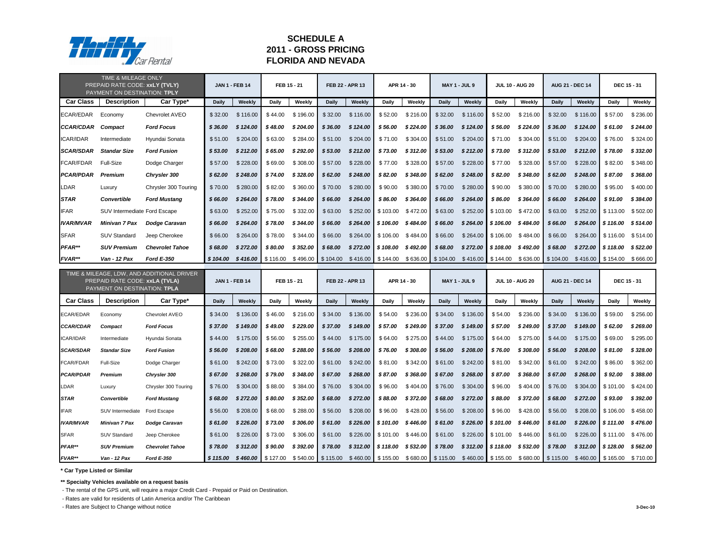|                  | TIME & MILEAGE ONLY<br>PREPAID RATE CODE: xxLY (TVLY)<br>PAYMENT ON DESTINATION: TPLY |                                            | <b>JAN 1 - FEB 14</b> |               |                    | FEB 15 - 21                             |                     | FEB 22 - APR 13 |                     | APR 14 - 30                             |              | <b>MAY 1 - JUL 9</b> |                     | <b>JUL 10 - AUG 20</b>                                                | <b>AUG 21 - DEC 14</b> |                        | <b>DEC 15 - 31</b>  |          |
|------------------|---------------------------------------------------------------------------------------|--------------------------------------------|-----------------------|---------------|--------------------|-----------------------------------------|---------------------|-----------------|---------------------|-----------------------------------------|--------------|----------------------|---------------------|-----------------------------------------------------------------------|------------------------|------------------------|---------------------|----------|
| <b>Car Class</b> | <b>Description</b>                                                                    | Car Type*                                  | <b>Daily</b>          | Weekly        | <b>Daily</b>       | Weekly                                  | <b>Daily</b>        | Weekly          | <b>Daily</b>        | Weekly                                  | <b>Daily</b> | Weekly               | <b>Daily</b>        | Weekly                                                                | <b>Daily</b>           | Weekly                 | <b>Daily</b>        | Weekly   |
| <b>ECAR/EDAR</b> | Economy                                                                               | Chevrolet AVEO                             | \$32.00               | \$116.00      | \$44.00            | \$196.00                                | \$32.00             | \$116.00        | \$52.00             | \$216.00                                | \$32.00      | \$116.00             | \$52.00             | \$216.00                                                              | \$32.00                | \$116.00               | \$57.00             | \$236.00 |
| <b>CCAR/CDAR</b> | <b>Compact</b>                                                                        | <b>Ford Focus</b>                          | \$36.00               | \$124.00      | \$48.00            | \$204.00                                | \$36.00             | \$124.00        | \$56.00             | \$224.00                                | \$36.00      | \$124.00             | \$56.00             | \$224.00                                                              | \$36.00                | \$124.00               | \$61.00             | \$244.00 |
| <b>ICAR/IDAR</b> | Intermediate                                                                          | Hyundai Sonata                             | \$51.00               | \$204.00      | \$63.00            | \$284.00                                | \$51.00             | \$204.00        | \$71.00             | \$304.00                                | \$51.00      | \$204.00             | \$71.00             | \$304.00                                                              | \$51.00                | \$204.00               | \$76.00             | \$324.00 |
| <b>SCAR/SDAR</b> | <b>Standar Size</b>                                                                   | <b>Ford Fusion</b>                         | \$53.00               | \$212.00      | \$65.00            | \$292.00                                | \$53.00             | \$212.00        | \$73.00             | \$312.00                                | \$53.00      | \$212.00             | \$73.00             | \$312.00                                                              | \$53.00                | \$212.00               | \$78.00             | \$332.00 |
| <b>FCAR/FDAR</b> | <b>Full-Size</b>                                                                      | Dodge Charger                              | \$57.00               | \$228.00      | \$69.00            | \$308.00                                | \$57.00             | \$228.00        | \$77.00             | \$328.00                                | \$57.00      | \$228.00             | \$77.00             | \$328.00                                                              | \$57.00                | \$228.00               | \$82.00             | \$348.00 |
| <b>PCAR/PDAR</b> | <b>Premium</b>                                                                        | <b>Chrysler 300</b>                        | \$62.00               | \$248.00      | \$74.00            | \$328.00                                | \$62.00             | \$248.00        | \$82.00             | \$348.00                                | \$62.00      | \$248.00             | \$82.00             | \$348.00                                                              | \$62.00                | \$248.00               | \$87.00             | \$368.00 |
| <b>LDAR</b>      | Luxury                                                                                | Chrysler 300 Touring                       | \$70.00               | \$280.00      | \$82.00            | \$360.00                                | \$70.00             | \$280.00        | \$90.00             | \$380.00                                | \$70.00      | \$280.00             | \$90.00             | \$380.00                                                              | \$70.00                | \$280.00               | \$95.00             | \$400.00 |
| <b>STAR</b>      | <b>Convertible</b>                                                                    | <b>Ford Mustang</b>                        | \$66.00               | \$264.00      | \$78.00            | \$344.00                                | \$66.00             | \$264.00        | \$86.00             | \$364.00                                | \$66.00      | \$264.00             | \$86.00             | \$364.00                                                              | \$66.00                | \$264.00               | \$91.00             | \$384.00 |
| <b>IFAR</b>      | SUV Intermediate Ford Escape                                                          |                                            | \$63.00               | \$252.00      | \$75.00            | \$332.00                                | \$63.00             | \$252.00        |                     | $$103.00$ $$472.00$                     | \$63.00      | \$252.00             | \$103.00            | \$472.00                                                              | \$63.00                | \$252.00               | \$113.00            | \$502.00 |
| <b>IVAR/MVAR</b> | <b>Minivan 7 Pax</b>                                                                  | <b>Dodge Caravan</b>                       | \$66.00               | \$264.00      | \$78.00            | \$344.00                                | \$66.00             | \$264.00        | $$106.00$ $$484.00$ |                                         | \$66.00      | \$264.00             | \$106.00            | \$484.00                                                              | \$66.00                | \$264.00               | \$116.00            | \$514.00 |
| <b>SFAR</b>      | <b>SUV Standard</b>                                                                   | Jeep Cherokee                              | \$66.00               | \$264.00      | \$78.00            | \$344.00                                | \$66.00             | \$264.00        |                     | $$106.00$ $$484.00$                     | \$66.00      | \$264.00             | \$106.00            | \$484.00                                                              | \$66.00                | \$264.00               | \$116.00            | \$514.00 |
| PFAR**           | <b>SUV Premium</b>                                                                    | <b>Chevrolet Tahoe</b>                     | \$68.00               | \$272.00      | \$80.00            | \$352.00                                | \$68.00             | \$272.00        |                     | $$108.00$ $$492.00$                     | \$68.00      | \$272.00             | \$108.00            | \$492.00                                                              | \$68.00                | \$272.00               | \$118.00            | \$522.00 |
| FVAR**           | Van - 12 Pax                                                                          | <b>Ford E-350</b>                          | \$104.00              |               | $$416.00$ \$116.00 |                                         | $$496.00$ $$104.00$ |                 |                     | $$416.00$ $$144.00$ $$636.00$ $$104.00$ |              |                      | $$416.00$ $$144.00$ |                                                                       | $$636.00$ $$104.00$    | $$416.00$ $$154.00$    |                     | \$666.00 |
|                  | PREPAID RATE CODE: xxLA (TVLA)<br>PAYMENT ON DESTINATION: TPLA                        | TIME & MILEAGE, LDW, AND ADDITIONAL DRIVER | <b>JAN 1 - FEB 14</b> |               |                    | FEB 15 - 21                             |                     | FEB 22 - APR 13 |                     | APR 14 - 30                             |              | <b>MAY 1 - JUL 9</b> |                     | <b>JUL 10 - AUG 20</b>                                                |                        | <b>AUG 21 - DEC 14</b> | <b>DEC 15 - 31</b>  |          |
| <b>Car Class</b> | <b>Description</b>                                                                    | Car Type*                                  | <b>Daily</b>          | <b>Weekly</b> | <b>Daily</b>       | Weekly                                  | <b>Daily</b>        | Weekly          | <b>Daily</b>        | Weekly                                  | <b>Daily</b> | Weekly               | <b>Daily</b>        | Weekly                                                                | <b>Daily</b>           | <b>Weekly</b>          | <b>Daily</b>        | Weekly   |
| <b>ECAR/EDAR</b> | Economy                                                                               | Chevrolet AVEO                             | \$34.00               | \$136.00      | \$46.00            | \$216.00                                | \$34.00             | \$136.00        | \$54.00             | \$236.00                                | \$34.00      | \$136.00             | \$54.00             | \$236.00                                                              | \$34.00                | \$136.00               | \$59.00             | \$256.00 |
| <b>CCAR/CDAR</b> | <b>Compact</b>                                                                        | <b>Ford Focus</b>                          | \$37.00               | \$149.00      | \$49.00            | \$229.00                                | \$37.00             | \$149.00        | \$57.00             | \$249.00                                | \$37.00      | \$149.00             | \$57.00             | \$ 249.00                                                             | \$37.00                | \$149.00               | \$62.00             | \$269.00 |
| <b>ICAR/IDAR</b> | Intermediate                                                                          | Hyundai Sonata                             | \$44.00               | \$175.00      | \$56.00            | \$255.00                                | \$44.00             | \$175.00        | \$64.00             | \$275.00                                | \$44.00      | \$175.00             | \$64.00             | \$275.00                                                              | \$44.00                | \$175.00               | \$69.00             | \$295.00 |
| <b>SCAR/SDAR</b> | <b>Standar Size</b>                                                                   | <b>Ford Fusion</b>                         | \$56.00               | \$208.00      | \$68.00            | \$288.00                                | \$56.00             | \$208.00        | \$ 76.00            | \$308.00                                | \$56.00      | \$208.00             | \$76.00             | \$308.00                                                              | \$56.00                | \$208.00               | \$81.00             | \$328.00 |
| <b>FCAR/FDAR</b> | Full-Size                                                                             | Dodge Charger                              | \$61.00               | \$242.00      | \$73.00            | \$322.00                                | \$61.00             | \$242.00        |                     | $$81.00 \quad $342.00$                  | \$61.00      | \$242.00             | \$81.00             | \$342.00                                                              | \$61.00                | \$242.00               | \$86.00             | \$362.00 |
| <b>PCAR/PDAR</b> | <b>Premium</b>                                                                        | <b>Chrysler 300</b>                        | \$67.00               | \$268.00      | \$79.00            | \$348.00                                | \$67.00             | \$268.00        | \$ 87.00            | \$368.00                                | \$67.00      | \$268.00             | \$ 87.00            | \$ 368.00                                                             | \$67.00                | \$268.00               | \$92.00             | \$388.00 |
| LDAR             | Luxury                                                                                | Chrysler 300 Touring                       | \$76.00               | \$304.00      | \$88.00            | \$384.00                                | \$76.00             | \$304.00        | \$96.00             | \$404.00                                | \$76.00      | \$304.00             | \$96.00             | \$404.00                                                              | \$76.00                |                        | $$304.00$ $$101.00$ | \$424.00 |
| <b>STAR</b>      | <b>Convertible</b>                                                                    | <b>Ford Mustang</b>                        | <b>\$68.00</b>        | \$272.00      | \$80.00            | \$352.00                                | \$68.00             | \$272.00        | \$ 88.00            | \$372.00                                | \$68.00      | \$272.00             | \$88.00             | \$ 372.00                                                             | \$68.00                | \$272.00               | \$93.00             | \$392.00 |
| <b>IFAR</b>      | SUV Intermediate                                                                      | Ford Escape                                | \$56.00               | \$208.00      | \$68.00            | \$288.00                                | \$56.00             | \$208.00        | \$96.00             | \$428.00                                | \$56.00      | \$208.00             | \$96.00             | \$428.00                                                              | \$56.00                | \$208.00               | \$106.00            | \$458.00 |
| <b>IVAR/MVAR</b> | Minivan 7 Pax                                                                         | Dodge Caravan                              | \$61.00               | \$226.00      | \$73.00            | \$306.00                                | \$61.00             | \$226.00        |                     | $$101.00$ $$446.00$                     | \$61.00      |                      | $$226.00$ \$101.00  | \$ 446.00                                                             | \$61.00                |                        | $$226.00$ \$111.00  | \$476.00 |
| <b>SFAR</b>      | <b>SUV Standard</b>                                                                   | Jeep Cherokee                              | \$61.00               | \$226.00      | \$73.00            | \$306.00                                | \$61.00             |                 |                     | $$226.00$ $$101.00$ $$446.00$           | \$61.00      |                      | $$226.00$ $$101.00$ | \$446.00                                                              | \$61.00                |                        | $$226.00$ $$111.00$ | \$476.00 |
| PFAR**           | <b>SUV Premium</b>                                                                    | <b>Chevrolet Tahoe</b>                     | \$78.00               | \$312.00      | \$ 90.00           | \$392.00                                | \$78.00             |                 |                     | $$312.00$ $$118.00$ $$532.00$           | \$78.00      |                      | $$312.00$ $$118.00$ | \$532.00                                                              | \$78.00                |                        | $$312.00$ \$128.00  | \$562.00 |
| FVAR**           | Van - 12 Pax                                                                          | <b>Ford E-350</b>                          | \$115.00              |               |                    | $$460.00$ $$127.00$ $$540.00$ $$115.00$ |                     |                 |                     | $$460.00$ $$155.00$ $$680.00$ $$115.00$ |              |                      |                     | $$460.00$   \$155.00 \$680.00   \$115.00 \$460.00   \$165.00 \$710.00 |                        |                        |                     |          |

**\*\* Specialty Vehicles available on a request basis**

- The rental of the GPS unit, will require a major Credit Card - Prepaid or Paid on Destination.

- Rates are valid for residents of Latin America and/or The Caribbean

- Rates are Subject to Change without notice **3-Dec-10**



# **SCHEDULE A 2011 - GROSS PRICING FLORIDA AND NEVADA**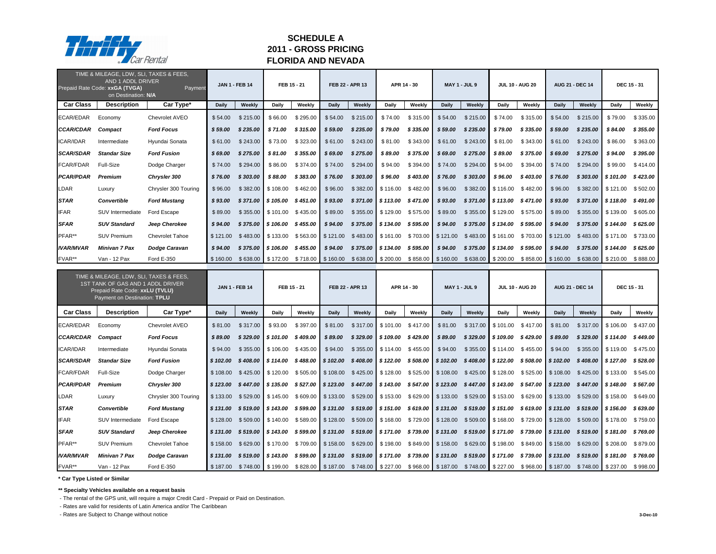|                  | TIME & MILEAGE, LDW, SLI, TAXES & FEES,<br>AND 1 ADDL DRIVER<br>Prepaid Rate Code: xxGA (TVGA)<br>on Destination: N/A                          | Payment                |                       | <b>JAN 1 - FEB 14</b> | FEB 15 - 21                              |          |                        | FEB 22 - APR 13 |                                                            | APR 14 - 30 |                                                              | <b>MAY 1 - JUL 9</b> |                     | <b>JUL 10 - AUG 20</b>                                                                                                                          |                                         | <b>AUG 21 - DEC 14</b> | <b>DEC 15 - 31</b>          |          |
|------------------|------------------------------------------------------------------------------------------------------------------------------------------------|------------------------|-----------------------|-----------------------|------------------------------------------|----------|------------------------|-----------------|------------------------------------------------------------|-------------|--------------------------------------------------------------|----------------------|---------------------|-------------------------------------------------------------------------------------------------------------------------------------------------|-----------------------------------------|------------------------|-----------------------------|----------|
| <b>Car Class</b> | <b>Description</b>                                                                                                                             | Car Type*              | <b>Daily</b>          | Weekly                | <b>Daily</b>                             | Weekly   | <b>Daily</b>           | Weekly          | <b>Daily</b>                                               | Weekly      | <b>Daily</b>                                                 | Weekly               | <b>Daily</b>        | Weekly                                                                                                                                          | <b>Daily</b>                            | Weekly                 | <b>Daily</b>                | Weekly   |
| <b>ECAR/EDAR</b> | Economy                                                                                                                                        | Chevrolet AVEO         | \$54.00               | \$215.00              | \$66.00                                  | \$295.00 | \$54.00                | \$215.00        | \$74.00                                                    | \$315.00    | \$54.00                                                      | \$215.00             | \$74.00             | \$315.00                                                                                                                                        | \$54.00                                 | \$215.00               | \$79.00                     | \$335.00 |
| <b>CCAR/CDAR</b> | <b>Compact</b>                                                                                                                                 | <b>Ford Focus</b>      | \$59.00               | \$235.00              | \$71.00                                  | \$315.00 | \$59.00                | \$235.00        | \$79.00                                                    | \$335.00    | \$59.00                                                      | \$235.00             | \$79.00             | \$335.00                                                                                                                                        | \$59.00                                 | \$235.00               | \$84.00                     | \$355.00 |
| <b>ICAR/IDAR</b> | Intermediate                                                                                                                                   | Hyundai Sonata         | \$61.00               | \$243.00              | \$73.00                                  | \$323.00 | \$61.00                | \$243.00        | \$81.00                                                    | \$343.00    | \$61.00                                                      | \$243.00             | \$81.00             | \$343.00                                                                                                                                        | \$61.00                                 | \$243.00               | \$86.00                     | \$363.00 |
| <b>SCAR/SDAR</b> | <b>Standar Size</b>                                                                                                                            | <b>Ford Fusion</b>     | \$69.00               | \$275.00              | \$81.00                                  | \$355.00 | \$69.00                | \$275.00        | \$89.00                                                    | \$375.00    | \$69.00                                                      | \$275.00             | \$89.00             | \$375.00                                                                                                                                        | \$69.00                                 | \$275.00               | \$94.00                     | \$395.00 |
| <b>FCAR/FDAR</b> | <b>Full-Size</b>                                                                                                                               | Dodge Charger          | \$74.00               | \$294.00              | \$86.00                                  | \$374.00 | \$74.00                | \$294.00        | \$94.00                                                    | \$394.00    | \$74.00                                                      | \$294.00             | \$94.00             | \$394.00                                                                                                                                        | \$74.00                                 | \$294.00               | \$99.00                     | \$414.00 |
| <b>PCAR/PDAR</b> | <b>Premium</b>                                                                                                                                 | <b>Chrysler 300</b>    | \$76.00               | \$303.00              | \$88.00                                  | \$383.00 | \$76.00                | \$303.00        | \$96.00                                                    | \$403.00    | \$76.00                                                      | \$303.00             | \$96.00             | \$403.00                                                                                                                                        | \$76.00                                 | \$303.00               | \$101.00                    | \$423.00 |
| <b>LDAR</b>      | Luxury                                                                                                                                         | Chrysler 300 Touring   | \$96.00               | \$382.00              | $\frac{1}{2}$ \$108.00                   | \$462.00 | \$96.00                | \$382.00        | \$116.00                                                   | \$482.00    | \$96.00                                                      | \$382.00             | \$116.00            | \$482.00                                                                                                                                        | \$96.00                                 | \$382.00               | \$121.00                    | \$502.00 |
| <b>STAR</b>      | <b>Convertible</b>                                                                                                                             | <b>Ford Mustang</b>    | \$93.00               | \$371.00              | $\frac{1}{2}$ \$ 105.00                  | \$451.00 | \$93.00                | \$371.00        | \$113.00                                                   | \$471.00    | \$93.00                                                      |                      | $$371.00$ $$113.00$ | \$471.00                                                                                                                                        | \$93.00                                 |                        | $$371.00$ $$118.00$         | \$491.00 |
| <b>IFAR</b>      | SUV Intermediate                                                                                                                               | Ford Escape            | \$89.00               | \$355.00              | $\parallel$ \$101.00                     | \$435.00 | \$89.00                | \$355.00        | \$129.00                                                   | \$575.00    | \$89.00                                                      | \$355.00             | \$129.00            | \$575.00                                                                                                                                        | \$89.00                                 | \$355.00               | \$139.00                    | \$605.00 |
| <b>SFAR</b>      | <b>SUV Standard</b>                                                                                                                            | Jeep Cherokee          | \$94.00               | \$375.00              | $\blacksquare$ \$ 106.00                 | \$455.00 | \$94.00                | \$375.00        | \$134.00                                                   | \$595.00    | \$94.00                                                      | \$375.00             | \$134.00            | \$595.00                                                                                                                                        | \$94.00                                 | \$375.00               | \$144.00                    | \$625.00 |
| PFAR**           | <b>SUV Premium</b>                                                                                                                             | <b>Chevrolet Tahoe</b> | \$121.00              | \$483.00              | $\parallel$ \$133.00                     | \$563.00 | \$121.00               | \$483.00        | \$161.00                                                   | \$703.00    | \$121.00                                                     | \$483.00             | \$161.00            |                                                                                                                                                 | $$703.00$ $$121.00$                     |                        | $$483.00$ $$171.00$         | \$733.00 |
| <b>IVAR/MVAR</b> | <b>Minivan 7 Pax</b>                                                                                                                           | <b>Dodge Caravan</b>   | \$94.00               | \$375.00              | $\frac{1}{2}$ \$ 106.00                  | \$455.00 | \$94.00                | \$375.00        | \$134.00                                                   | \$595.00    | \$94.00                                                      |                      | $$375.00$ $$134.00$ | \$ 595.00                                                                                                                                       | \$94.00                                 |                        | $$375.00$ $$144.00$         | \$625.00 |
| FVAR**           | Van - 12 Pax                                                                                                                                   | <b>Ford E-350</b>      | \$160.00              | \$638.00              | $\frac{1}{2}$ \$172.00                   | \$718.00 | \$160.00               |                 | $$638.00$ $$200.00$                                        |             | $$858.00$ $$160.00$                                          |                      | $$638.00$ $$200.00$ |                                                                                                                                                 | $$858.00$ $$160.00$                     |                        | $$638.00$ $$210.00$         | \$888.00 |
|                  |                                                                                                                                                |                        |                       |                       |                                          |          |                        |                 |                                                            |             |                                                              |                      |                     |                                                                                                                                                 |                                         |                        |                             |          |
|                  | TIME & MILEAGE, LDW, SLI, TAXES & FEES,<br>1ST TANK OF GAS AND 1 ADDL DRIVER<br>Prepaid Rate Code: xxLU (TVLU)<br>Payment on Destination: TPLU |                        | <b>JAN 1 - FEB 14</b> |                       | FEB 15 - 21                              |          |                        | FEB 22 - APR 13 |                                                            | APR 14 - 30 |                                                              | <b>MAY 1 - JUL 9</b> |                     | <b>JUL 10 - AUG 20</b>                                                                                                                          |                                         | <b>AUG 21 - DEC 14</b> | <b>DEC 15 - 31</b>          |          |
| <b>Car Class</b> | <b>Description</b>                                                                                                                             | Car Type*              | <b>Daily</b>          | Weekly                | <b>Daily</b>                             | Weekly   | <b>Daily</b>           | Weekly          | <b>Daily</b>                                               | Weekly      | <b>Daily</b>                                                 | Weekly               | <b>Daily</b>        | Weekly                                                                                                                                          | <b>Daily</b>                            | <b>Weekly</b>          | <b>Daily</b>                | Weekly   |
| <b>ECAR/EDAR</b> | Economy                                                                                                                                        | Chevrolet AVEO         | \$81.00               | \$317.00              | \$93.00                                  | \$397.00 | \$81.00                |                 | $$317.00$ $$101.00$                                        | \$417.00    | \$81.00                                                      | \$317.00             | \$101.00            | \$417.00                                                                                                                                        | \$81.00                                 | \$317.00               | \$106.00                    | \$437.00 |
| <b>CCAR/CDAR</b> | <b>Compact</b>                                                                                                                                 | <b>Ford Focus</b>      | \$89.00               | \$329.00              | $\frac{1}{2}$ \$101.00                   | \$409.00 | \$89.00                |                 | $$329.00$ \$109.00                                         | \$429.00    | \$89.00                                                      |                      | $$329.00$ \$109.00  | \$ 429.00                                                                                                                                       | \$89.00                                 |                        | $$329.00$ $$114.00$         | \$449.00 |
| <b>ICAR/IDAR</b> | Intermediate                                                                                                                                   | Hyundai Sonata         | \$94.00               |                       | $$355.00$ $$106.00$ $$435.00$            |          | \$94.00                |                 | $$355.00$ $$114.00$ $$455.00$                              |             | \$94.00                                                      |                      |                     | $$355.00$ $$114.00$ $$455.00$                                                                                                                   | \$94.00                                 |                        | $$355.00$ $$119.00$         | \$475.00 |
| <b>SCAR/SDAR</b> | <b>Standar Size</b>                                                                                                                            | <b>Ford Fusion</b>     | \$102.00              |                       | $$408.00$ \$114.00 \$488.00              |          | \$102.00               |                 | $$408.00$ \$122.00 \$508.00 \$102.00                       |             |                                                              | $$408.00$ \$122.00   |                     |                                                                                                                                                 | \$508.00 \$102.00                       |                        | $$408.00$ \$127.00 \$528.00 |          |
| <b>FCAR/FDAR</b> | <b>Full-Size</b>                                                                                                                               | Dodge Charger          |                       |                       | $$108.00$ $$425.00$ $$120.00$ $$505.00$  |          | \$108.00               |                 | $$425.00$ $$128.00$ $$525.00$ $$108.00$                    |             |                                                              | $$425.00$ $$128.00$  |                     |                                                                                                                                                 | $$525.00$ $$108.00$ $$425.00$ $$133.00$ |                        |                             | \$545.00 |
| <b>PCAR/PDAR</b> | <b>Premium</b>                                                                                                                                 | <b>Chrysler 300</b>    |                       |                       |                                          |          |                        |                 |                                                            |             |                                                              |                      |                     | \$123.00 \$447.00 \$135.00 \$527.00 \$123.00 \$447.00 \$143.00 \$547.00 \$123.00 \$447.00 \$143.00 \$547.00 \$123.00 \$447.00 \$148.00 \$567.00 |                                         |                        |                             |          |
| <b>LDAR</b>      | Luxury                                                                                                                                         | Chrysler 300 Touring   | \$133.00              |                       | $$529.00$ $$145.00$ $$609.00$            |          |                        |                 | $\frac{1}{2}$ \$133.00 \$529.00 \$153.00 \$629.00 \$133.00 |             |                                                              | \$529.00 \$153.00    |                     |                                                                                                                                                 | \$629.00 \$133.00 \$529.00 \$158.00     |                        |                             | \$649.00 |
| <b>STAR</b>      | <b>Convertible</b>                                                                                                                             | <b>Ford Mustang</b>    | \$131.00              | \$519.00              | $\parallel$ \$143.00 \$599.00            |          | $\frac{1}{2}$ \$131.00 |                 | $$519.00$   \$151.00 \$619.00   \$131.00                   |             |                                                              |                      | $$519.00$ \$151.00  |                                                                                                                                                 | \$619.00 \$131.00                       | $$519.00$ \$156.00     |                             | \$639.00 |
| <b>IFAR</b>      | SUV Intermediate                                                                                                                               | Ford Escape            |                       |                       | $$128.00$ $$509.00$ $$140.00$ $$589.00$  |          |                        |                 |                                                            |             |                                                              |                      |                     | \$128.00 \$509.00 \$168.00 \$729.00 \$128.00 \$509.00 \$168.00 \$729.00 \$128.00 \$509.00 \$178.00 \$759.00                                     |                                         |                        |                             |          |
| <b>SFAR</b>      | <b>SUV Standard</b>                                                                                                                            | Jeep Cherokee          | \$131.00              |                       | $$519.00$   \$143.00 \$599.00   \$131.00 |          |                        |                 |                                                            |             | $$519.00$   \$171.00 \$739.00   \$131.00 \$519.00   \$171.00 |                      |                     |                                                                                                                                                 | $$739.00$ \$131.00                      |                        | \$519.00 \$181.00           | \$769.00 |
| PFAR**           | <b>SUV Premium</b>                                                                                                                             | <b>Chevrolet Tahoe</b> | \$158.00              |                       | $$629.00$ $$170.00$ $$709.00$            |          |                        |                 |                                                            |             | $\frac{1}{2}$ \$158.00 \$629.00 \$198.00 \$849.00 \$158.00   | $$629.00$ $$198.00$  |                     |                                                                                                                                                 | \$849.00 \$158.00 \$629.00 \$208.00     |                        |                             | \$879.00 |
| <b>IVAR/MVAR</b> | <b>Minivan 7 Pax</b>                                                                                                                           | <b>Dodge Caravan</b>   |                       |                       | $$131.00$ $$519.00$ $$143.00$ $$599.00$  |          |                        |                 |                                                            |             | $\frac{1}{2}$ \$131.00 \$519.00 \$171.00 \$739.00 \$131.00   | \$519.00 \$171.00    |                     |                                                                                                                                                 | \$739.00 \$131.00 \$519.00 \$181.00     |                        |                             | \$769.00 |

**\*\* Specialty Vehicles available on a request basis**

- The rental of the GPS unit, will require a major Credit Card - Prepaid or Paid on Destination.

- Rates are valid for residents of Latin America and/or The Caribbean

- Rates are Subject to Change without notice **3-Dec-10**



### **FLORIDA AND NEVADA SCHEDULE A 2011 - GROSS PRICING**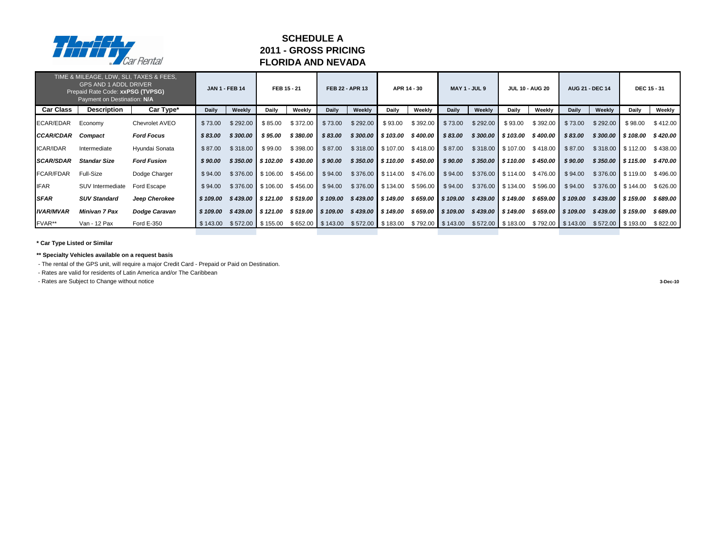|                  | TIME & MILEAGE, LDW, SLI, TAXES & FEES,<br><b>GPS AND 1 ADDL DRIVER</b><br>Prepaid Rate Code: xxPSG (TVPSG)<br>Payment on Destination: N/A |                    |              | <b>JAN 1 - FEB 14</b> |                      | FEB 15 - 21        |                     | <b>FEB 22 - APR 13</b> |                      | APR 14 - 30                             |                    | <b>MAY 1 - JUL 9</b> |                      | <b>JUL 10 - AUG 20</b> |                     | <b>AUG 21 - DEC 14</b> |                       | <b>DEC 15 - 31</b> |
|------------------|--------------------------------------------------------------------------------------------------------------------------------------------|--------------------|--------------|-----------------------|----------------------|--------------------|---------------------|------------------------|----------------------|-----------------------------------------|--------------------|----------------------|----------------------|------------------------|---------------------|------------------------|-----------------------|--------------------|
| <b>Car Class</b> | <b>Description</b>                                                                                                                         | Car Type*          | <b>Daily</b> | Weekly                | <b>Daily</b>         | Weekly             | <b>Daily</b>        | Weekly                 | Daily                | Weekly                                  | <b>Daily</b>       | Weekly               | <b>Daily</b>         | Weekly                 | <b>Daily</b>        | Weekly                 | <b>Daily</b>          | Weekly             |
| ECAR/EDAR        | Economy                                                                                                                                    | Chevrolet AVEO     | \$73.00      | \$292.00              | \$85.00              | \$372.00           | \$73.00             | \$292.00               | \$93.00              | \$392.00                                | \$73.00            | \$292.00             | \$93.00              | \$392.00               | \$73.00             | \$292.00               | \$98.00               | \$412.00           |
| <b>CCAR/CDAR</b> | Compact                                                                                                                                    | <b>Ford Focus</b>  | \$83.00      | \$300.00              | \$95.00              | \$380.00           | \$83.00             |                        | $$300.00$   \$103.00 | \$400.00                                | \$83.00            |                      | $$300.00$   \$103.00 | \$400.00               | \$83.00             |                        | $$300.00$ \ \$108.00  | \$420.00           |
| <b>ICAR/IDAR</b> | Intermediate                                                                                                                               | Hyundai Sonata     | \$87.00      | \$318.00              | \$99.00              | \$398.00           | \$87.00             |                        | $$318.00$ $$107.00$  | \$418.00                                | \$87.00            |                      | $$318.00$ $$107.00$  | \$418.00               | \$87.00             |                        | $$318.00$ $$112.00$   | \$438.00           |
| <b>SCAR/SDAR</b> | <b>Standar Size</b>                                                                                                                        | <b>Ford Fusion</b> | \$90.00      | \$350.00              | $\frac{1}{2}$ 102.00 | \$430.00           | \$90.00             |                        | $$350.00$   \$110.00 | \$450.00                                | \$90.00            |                      | $$350.00$   \$110.00 | \$450.00               | \$90.00             |                        | $$350.00$ \ \$115.00  | \$470.00           |
| <b>FCAR/FDAR</b> | <b>Full-Size</b>                                                                                                                           | Dodge Charger      | \$94.00      |                       | $$376.00$ $$106.00$  | \$456.00           | \$94.00             |                        | $$376.00$ $$114.00$  | \$476.00                                | \$94.00            |                      | $$376.00$ $$114.00$  | \$476.00               | \$94.00             |                        | $$376.00$ $$119.00$   | \$496.00           |
| <b>IFAR</b>      | <b>SUV Intermediate</b>                                                                                                                    | Ford Escape        | \$94.00      |                       | $$376.00$ $$106.00$  | $$456.00$ \$94.00  |                     |                        | $$376.00$ $$134.00$  | \$596.00                                | \$94.00            |                      | $$376.00$ $$134.00$  | \$596.00               | \$94.00             |                        | $$376.00$ $$144.00$   | \$626.00           |
| <b>SFAR</b>      | <b>SUV Standard</b>                                                                                                                        | Jeep Cherokee      | \$109.00     |                       | \$439.00 \$121.00    |                    | $$519.00$ \$109.00  |                        | $$439.00$ \ \$149.00 |                                         | $$659.00$ \$109.00 |                      | $$439.00$ \$149.00   |                        | $$659.00$ \$109.00  |                        | $$439.00$ \ \$159.00  | \$689.00           |
| <b>IVAR/MVAR</b> | <b>Minivan 7 Pax</b>                                                                                                                       | Dodge Caravan      | \$109.00     |                       | $$439.00$ $$121.00$  | $$519.00$ \$109.00 |                     |                        | $$439.00$ \ \$149.00 | \$659.00 \$109.00                       |                    |                      | $$439.00$ \$149.00   | $$659.00$ \$109.00     |                     |                        | $$439.00$ \$159.00    | \$689.00           |
| FVAR**           | Van - 12 Pax                                                                                                                               | <b>Ford E-350</b>  | \$143.00     |                       | $$572.00$ $$155.00$  |                    | $$652.00$ $$143.00$ |                        |                      | $$572.00$ $$183.00$ $$792.00$ $$143.00$ |                    |                      | $$572.00$ $$183.00$  |                        | $$792.00$ $$143.00$ |                        | $$572.00$ \ $$193.00$ | \$822.00           |

**\*\* Specialty Vehicles available on a request basis**

- The rental of the GPS unit, will require a major Credit Card - Prepaid or Paid on Destination.

- Rates are valid for residents of Latin America and/or The Caribbean

- Rates are Subject to Change without notice **3-Dec-10**



### **SCHEDULE A 2011 - GROSS PRICING FLORIDA AND NEVADA**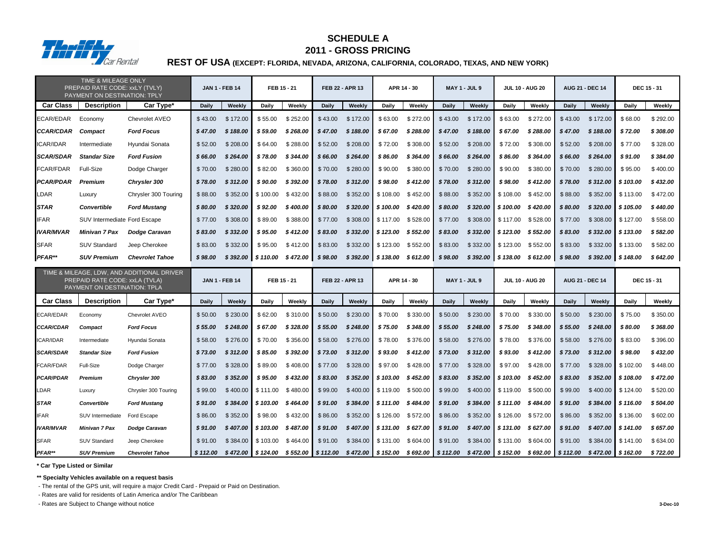|                  | <b>TIME &amp; MILEAGE ONLY</b><br>PREPAID RATE CODE: xxLY (TVLY)<br>PAYMENT ON DESTINATION: TPLY |                        |              | <b>JAN 1 - FEB 14</b> | FEB 15 - 21                   |                    |              | FEB 22 - APR 13                       |                                     | APR 14 - 30        |              | <b>MAY 1 - JUL 9</b>                   |                     | <b>JUL 10 - AUG 20</b> |              | <b>AUG 21 - DEC 14</b> |                        | <b>DEC 15 - 31</b> |
|------------------|--------------------------------------------------------------------------------------------------|------------------------|--------------|-----------------------|-------------------------------|--------------------|--------------|---------------------------------------|-------------------------------------|--------------------|--------------|----------------------------------------|---------------------|------------------------|--------------|------------------------|------------------------|--------------------|
| <b>Car Class</b> | <b>Description</b>                                                                               | Car Type*              | <b>Daily</b> | Weekly                | <b>Daily</b>                  | Weekly             | <b>Daily</b> | Weekly                                | Daily                               | Weekly             | <b>Daily</b> | Weekly                                 | Daily               | Weekly                 | <b>Daily</b> | Weekly                 | <b>Daily</b>           | Weekly             |
| ECAR/EDAR        | Economy                                                                                          | <b>Chevrolet AVEO</b>  | \$43.00      | \$172.00              | \$55.00                       | \$252.00           | \$43.00      | \$172.00                              | \$63.00                             | \$272.00           | \$43.00      | \$172.00                               | \$63.00             | \$272.00               | \$43.00      | \$172.00               | \$68.00                | \$292.00           |
| <b>CCAR/CDAR</b> | <b>Compact</b>                                                                                   | <b>Ford Focus</b>      | \$47.00      | \$188.00              | \$59.00                       | \$268.00           | \$47.00      | \$188.00                              | \$67.00                             | \$288.00           | \$47.00      | \$188.00                               | \$67.00             | \$288.00               | \$47.00      | \$188.00               | \$72.00                | \$308.00           |
| <b>ICAR/IDAR</b> | Intermediate                                                                                     | Hyundai Sonata         | \$52.00      | \$208.00              | \$64.00                       | \$288.00           | \$52.00      | \$208.00                              | \$72.00                             | \$308.00           | \$52.00      | \$208.00                               | \$72.00             | \$308.00               | \$52.00      | \$208.00               | \$77.00                | \$328.00           |
| <b>SCAR/SDAR</b> | <b>Standar Size</b>                                                                              | <b>Ford Fusion</b>     | \$66.00      | \$264.00              | \$78.00                       | \$344.00           | \$66.00      | \$264.00                              | \$86.00                             | \$364.00           | \$66.00      | \$264.00                               | \$86.00             | \$364.00               | \$66.00      | \$264.00               | \$91.00                | \$384.00           |
| FCAR/FDAR        | Full-Size                                                                                        | Dodge Charger          | \$70.00      | \$280.00              | \$82.00                       | \$360.00           | \$70.00      | \$280.00                              | \$90.00                             | \$380.00           | \$70.00      | \$280.00                               | \$90.00             | \$380.00               | \$70.00      | \$280.00               | \$95.00                | \$400.00           |
| <b>PCAR/PDAR</b> | <b>Premium</b>                                                                                   | <b>Chrysler 300</b>    | \$78.00      | \$312.00              | \$90.00                       | \$392.00           | \$78.00      | \$312.00                              | \$98.00                             | \$412.00           | \$78.00      | \$312.00                               | \$98.00             | \$412.00               | \$78.00      | \$312.00               | \$103.00               | \$432.00           |
| LDAR             | Luxury                                                                                           | Chrysler 300 Touring   | \$88.00      | \$352.00              | \$100.00                      | \$432.00           | \$88.00      | \$352.00                              | \$108.00                            | \$452.00           | \$88.00      | \$352.00                               | \$108.00            | \$452.00               | \$88.00      | \$352.00               | \$113.00               | \$472.00           |
| <b>STAR</b>      | <b>Convertible</b>                                                                               | <b>Ford Mustang</b>    | \$80.00      | \$320.00              | \$92.00                       | \$400.00           | \$80.00      | \$320.00                              | \$100.00                            | \$420.00           | \$80.00      | \$320.00                               |                     | \$100.00 \$420.00      | \$80.00      | \$320.00               | \$105.00               | \$440.00           |
| <b>IFAR</b>      | SUV Intermediate Ford Escape                                                                     |                        | \$77.00      | \$308.00              | \$89.00                       | \$388.00           | \$77.00      | \$308.00                              | \$117.00 \$528.00                   |                    | \$77.00      | \$308.00                               | \$117.00 \$528.00   |                        | \$77.00      | \$308.00               | \$127.00               | \$558.00           |
| <b>IVAR/MVAR</b> | <b>Minivan 7 Pax</b>                                                                             | <b>Dodge Caravan</b>   | \$83.00      | \$332.00              | \$95.00                       | \$412.00           | \$83.00      | \$332.00                              | \$123.00                            | \$552.00           | \$83.00      | \$332.00                               | \$123.00            | \$552.00               | \$83.00      | \$332.00               | \$133.00               | \$582.00           |
| <b>SFAR</b>      | <b>SUV Standard</b>                                                                              | Jeep Cherokee          | \$83.00      | \$332.00              | \$95.00                       | \$412.00           | \$83.00      | \$332.00                              | \$123.00                            | \$552.00           | \$83.00      | \$332.00                               | \$123.00            | \$552.00               | \$83.00      | \$332.00               | \$133.00               | \$582.00           |
| PFAR**           | <b>SUV Premium</b>                                                                               | <b>Chevrolet Tahoe</b> | \$98.00      | \$392.00              | \$110.00                      | \$472.00           | \$98.00      | \$392.00                              | \$138.00                            | \$ 612.00          | \$98.00      | \$392.00                               | \$138.00            | \$ 612.00              | \$98.00      | \$392.00               | $\frac{1}{2}$ \$148.00 | \$642.00           |
|                  | TIME & MILEAGE, LDW, AND ADDITIONAL DRIVER                                                       |                        |              |                       |                               |                    |              |                                       |                                     |                    |              |                                        |                     |                        |              |                        |                        |                    |
|                  | PREPAID RATE CODE: xxLA (TVLA)<br>PAYMENT ON DESTINATION: TPLA                                   |                        |              | <b>JAN 1 - FEB 14</b> | FEB 15 - 21                   |                    |              | FEB 22 - APR 13                       |                                     | APR 14 - 30        |              | <b>MAY 1 - JUL 9</b>                   |                     | <b>JUL 10 - AUG 20</b> |              | <b>AUG 21 - DEC 14</b> |                        | <b>DEC 15 - 31</b> |
| <b>Car Class</b> | <b>Description</b>                                                                               | Car Type*              | <b>Daily</b> | Weekly                | <b>Daily</b>                  | <b>Weekly</b>      | <b>Daily</b> | Weekly                                | <b>Daily</b>                        | Weekly             | <b>Daily</b> | Weekly                                 | <b>Daily</b>        | Weekly                 | <b>Daily</b> | Weekly                 | <b>Daily</b>           | Weekly             |
| ECAR/EDAR        | Economy                                                                                          | Chevrolet AVEO         | \$50.00      | \$230.00              | \$62.00                       | \$310.00           | \$50.00      | \$230.00                              | \$70.00                             | \$330.00           | \$50.00      | \$230.00                               | \$70.00             | \$330.00               | \$50.00      | \$230.00               | \$75.00                | \$350.00           |
| <b>CCAR/CDAR</b> | <b>Compact</b>                                                                                   | <b>Ford Focus</b>      | \$55.00      | \$248.00              | \$67.00                       | \$328.00           | \$55.00      | \$248.00                              | \$75.00                             | \$348.00           | \$55.00      | \$248.00                               | \$75.00             | \$348.00               | \$55.00      | \$248.00               | \$80.00                | \$368.00           |
| ICAR/IDAR        | Intermediate                                                                                     | Hyundai Sonata         |              | $$58.00$ $$276.00$    |                               | $$70.00$ $$356.00$ |              | $$58.00$ $$276.00$ $$78.00$ $$376.00$ |                                     |                    |              | $$58.00$ $$276.00$                     |                     | $$78.00$ $$376.00$     |              | $$58.00$ $$276.00$     | \$83.00                | \$396.00           |
| <b>SCAR/SDAR</b> | <b>Standar Size</b>                                                                              | <b>Ford Fusion</b>     | \$73.00      | \$312.00              | \$ 85.00                      | \$392.00           | \$73.00      | \$312.00                              |                                     | $$93.00$ $$412.00$ | \$73.00      | \$312.00                               | \$ 93.00            | \$412.00               | \$73.00      | \$312.00               | \$ 98.00               | \$432.00           |
| FCAR/FDAR        | <b>Full-Size</b>                                                                                 | Dodge Charger          | \$77.00      | \$328.00              | \$89.00                       | \$408.00           | \$77.00      | \$328.00                              |                                     | $$97.00$ $$428.00$ | \$77.00      | \$328.00                               |                     | $$97.00$ $$428.00$     | \$77.00      | \$328.00               | \$102.00               | \$448.00           |
| <b>PCAR/PDAR</b> | <b>Premium</b>                                                                                   | <b>Chrysler 300</b>    | \$83.00      | \$352.00              | \$95.00                       | \$432.00           | \$83.00      |                                       | $$352.00 \& 5103.00 \& 452.00$      |                    | \$83.00      | \$352.00                               | $$103.00$ $$452.00$ |                        | \$83.00      | \$352.00               | \$108.00               | \$472.00           |
| LDAR             | Luxury                                                                                           | Chrysler 300 Touring   | \$99.00      |                       | $$400.00$ $$111.00$ $$480.00$ |                    | \$99.00      |                                       | $$400.00$ $$119.00$ $$500.00$       |                    | \$99.00      | $$400.00$ \$119.00 \$500.00            |                     |                        | \$99.00      | $$400.00$ \$124.00     |                        | \$520.00           |
| <b>STAR</b>      | <b>Convertible</b>                                                                               | <b>Ford Mustang</b>    | \$91.00      |                       | $$384.00$   \$103.00 \$464.00 |                    | \$91.00      |                                       | $$384.00$   \$111.00 \$484.00       |                    |              | $$91.00$ $$384.00$ $$111.00$ $$484.00$ |                     |                        | \$91.00      | $$384.00$ $$116.00$    |                        | \$504.00           |
| <b>IFAR</b>      | SUV Intermediate                                                                                 | Ford Escape            | \$86.00      | \$352.00              | \$98.00                       | \$432.00           | \$86.00      |                                       | $$352.00 \mid $126.00 \mid $572.00$ |                    | \$86.00      | $$352.00$   \$126.00 \$572.00          |                     |                        | \$86.00      |                        | $$352.00$ $$136.00$    | \$602.00           |
| <b>IVAR/MVAR</b> | Minivan 7 Pax                                                                                    | <b>Dodge Caravan</b>   | \$91.00      |                       | $$407.00$   \$103.00 \$487.00 |                    | \$91.00      |                                       | $$407.00$   \$131.00 \$627.00       |                    | \$91.00      | $$407.00$ \$131.00 \$627.00            |                     |                        | \$91.00      |                        | $$407.00$   \$141.00   | \$657.00           |
| <b>SFAR</b>      | <b>SUV Standard</b>                                                                              | Jeep Cherokee          | \$91.00      |                       | $$384.00$ $$103.00$ $$464.00$ |                    | \$91.00      |                                       | $$384.00$ $$131.00$ $$604.00$       |                    | \$91.00      | \$384.00                               | $$131.00$ $$604.00$ |                        | \$91.00      | $$384.00$ $$141.00$    |                        | \$634.00           |

**\*\* Specialty Vehicles available on a request basis**

- The rental of the GPS unit, will require a major Credit Card - Prepaid or Paid on Destination.

- Rates are valid for residents of Latin America and/or The Caribbean

- Rates are Subject to Change without notice **3-Dec-10**

# **REST OF USA (EXCEPT: FLORIDA, NEVADA, ARIZONA, CALIFORNIA, COLORADO, TEXAS, AND NEW YORK)**



# **2011 - GROSS PRICING SCHEDULE A**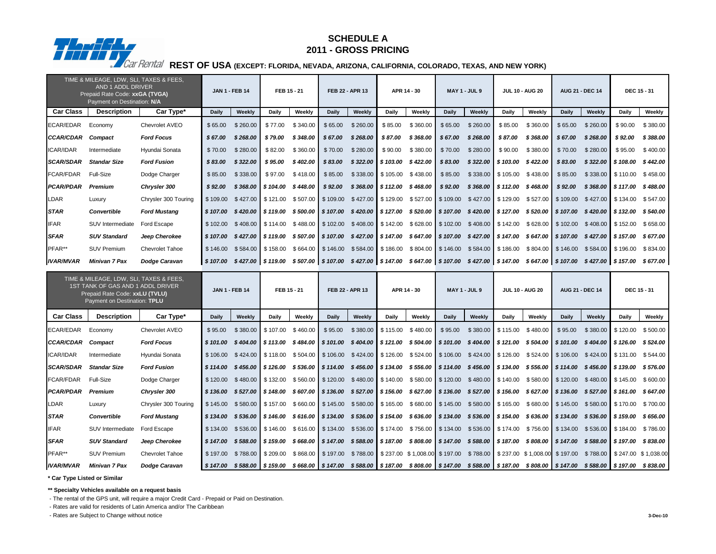|                   | TIME & MILEAGE, LDW, SLI, TAXES & FEES,<br><b>AND 1 ADDL DRIVER</b><br>Prepaid Rate Code: xxGA (TVGA)<br>Payment on Destination: N/A           |                        |              | <b>JAN 1 - FEB 14</b>                                                                                                                           | FEB 15 - 21                             |          |              | FEB 22 - APR 13                                                                                                                                      |                         | APR 14 - 30                   |                     | <b>MAY 1 - JUL 9</b> |              | <b>JUL 10 - AUG 20</b>                                                        |                                         | <b>AUG 21 - DEC 14</b> | <b>DEC 15 - 31</b>      |                                                                                                                                                          |
|-------------------|------------------------------------------------------------------------------------------------------------------------------------------------|------------------------|--------------|-------------------------------------------------------------------------------------------------------------------------------------------------|-----------------------------------------|----------|--------------|------------------------------------------------------------------------------------------------------------------------------------------------------|-------------------------|-------------------------------|---------------------|----------------------|--------------|-------------------------------------------------------------------------------|-----------------------------------------|------------------------|-------------------------|----------------------------------------------------------------------------------------------------------------------------------------------------------|
| <b>Car Class</b>  | <b>Description</b>                                                                                                                             | Car Type*              | <b>Daily</b> | Weekly                                                                                                                                          | <b>Daily</b>                            | Weekly   | <b>Daily</b> | Weekly                                                                                                                                               | <b>Daily</b>            | Weekly                        | <b>Daily</b>        | Weekly               | <b>Daily</b> | Weekly                                                                        | <b>Daily</b>                            | Weekly                 | <b>Daily</b>            | Weekly                                                                                                                                                   |
| ECAR/EDAR         | Economy                                                                                                                                        | Chevrolet AVEO         | \$65.00      | \$260.00                                                                                                                                        | \$77.00                                 | \$340.00 | \$65.00      | \$260.00                                                                                                                                             | \$85.00                 | \$360.00                      | \$65.00             | \$260.00             | \$85.00      | \$360.00                                                                      | \$65.00                                 | \$260.00               | \$90.00                 | \$380.00                                                                                                                                                 |
| <b>CCAR/CDAR</b>  | Compact                                                                                                                                        | <b>Ford Focus</b>      | \$67.00      | \$268.00                                                                                                                                        | \$79.00                                 | \$348.00 | \$67.00      | \$268.00                                                                                                                                             | \$87.00                 | \$368.00                      | \$67.00             | \$268.00             | \$87.00      | \$368.00                                                                      | \$67.00                                 | \$268.00               | \$92.00                 | \$388.00                                                                                                                                                 |
| ICAR/IDAR         | Intermediate                                                                                                                                   | Hyundai Sonata         | \$70.00      | \$280.00                                                                                                                                        | \$82.00                                 | \$360.00 | \$70.00      | \$280.00                                                                                                                                             | \$90.00                 | \$380.00                      | \$70.00             | \$280.00             | \$90.00      | \$380.00                                                                      | \$70.00                                 | \$280.00               | \$95.00                 | \$400.00                                                                                                                                                 |
| <b>SCAR/SDAR</b>  | <b>Standar Size</b>                                                                                                                            | <b>Ford Fusion</b>     | \$83.00      | \$322.00                                                                                                                                        | \$95.00                                 | \$402.00 | \$83.00      |                                                                                                                                                      | $$322.00$ \$103.00      | \$422.00                      | \$83.00             | \$322.00             | \$103.00     | \$422.00                                                                      | \$83.00                                 | \$322.00               | \$108.00                | \$442.00                                                                                                                                                 |
| <b>FCAR/FDAR</b>  | <b>Full-Size</b>                                                                                                                               | Dodge Charger          | \$85.00      | \$338.00                                                                                                                                        | \$97.00                                 | \$418.00 | \$85.00      | \$338.00                                                                                                                                             | $\frac{1}{2}$ \$ 105.00 | \$438.00                      | \$85.00             | \$338.00             | \$105.00     | \$438.00                                                                      | \$85.00                                 | \$338.00               | $\frac{1}{2}$ \$110.00  | \$458.00                                                                                                                                                 |
| <b>PCAR/PDAR</b>  | Premium                                                                                                                                        | <b>Chrysler 300</b>    | \$92.00      | \$368.00                                                                                                                                        | \$104.00                                | \$448.00 | \$92.00      | \$368.00                                                                                                                                             | \$112.00                | \$468.00                      | \$92.00             | \$368.00             | \$112.00     | \$468.00                                                                      | \$92.00                                 | \$368.00               | $\frac{1}{2}$ \$117.00  | \$488.00                                                                                                                                                 |
| <b>LDAR</b>       | Luxury                                                                                                                                         | Chrysler 300 Touring   | \$109.00     | \$427.00                                                                                                                                        | \$121.00                                | \$507.00 | \$109.00     | \$427.00                                                                                                                                             | $\frac{1}{2}$ \$129.00  | \$527.00                      | \$109.00            | \$427.00             | \$129.00     |                                                                               | $$527.00$ $$109.00$                     | $$427.00$ \ \$134.00   |                         | \$547.00                                                                                                                                                 |
| <b>STAR</b>       | <b>Convertible</b>                                                                                                                             | <b>Ford Mustang</b>    | \$107.00     | \$420.00                                                                                                                                        | $\frac{1}{2}$ \$ 119.00                 | \$500.00 | \$107.00     | \$420.00                                                                                                                                             | $\frac{1}{2}$ \$ 127.00 | \$ 520.00                     | \$107.00            | \$420.00             | \$127.00     |                                                                               | $$520.00$ \$107.00                      | \$420.00               | $\frac{1}{2}$ \$ 132.00 | \$540.00                                                                                                                                                 |
| <b>IFAR</b>       | SUV Intermediate                                                                                                                               | Ford Escape            | \$102.00     | \$408.00                                                                                                                                        | $\frac{1}{2}$ \$114.00                  | \$488.00 | \$102.00     | $$408.00$ $$142.00$                                                                                                                                  |                         |                               | $$628.00$ $$102.00$ | \$408.00             | \$142.00     |                                                                               | $$628.00$ $$102.00$                     | $$408.00$ \ \$152.00   |                         | \$658.00                                                                                                                                                 |
| <b>SFAR</b>       | <b>SUV Standard</b>                                                                                                                            | Jeep Cherokee          |              | \$107.00 \$427.00 \$119.00 \$507.00 \$107.00 \$427.00 \$147.00 \$647.00 \$107.00 \$427.00 \$147.00 \$647.00 \$107.00 \$427.00 \$157.00 \$677.00 |                                         |          |              |                                                                                                                                                      |                         |                               |                     |                      |              |                                                                               |                                         |                        |                         |                                                                                                                                                          |
| PFAR**            | <b>SUV Premium</b>                                                                                                                             | <b>Chevrolet Tahoe</b> | \$146.00     |                                                                                                                                                 | $$584.00$ $$158.00$                     | \$664.00 |              | $\frac{1}{2}$ \$146.00 \$584.00 \$186.00 \$804.00 \$146.00 \$584.00 \$186.00                                                                         |                         |                               |                     |                      |              |                                                                               | $$804.00$ $$146.00$ $$584.00$ $$196.00$ |                        |                         | \$834.00                                                                                                                                                 |
| <b>IVAR/MVAR</b>  | <b>Minivan 7 Pax</b>                                                                                                                           | <b>Dodge Caravan</b>   | \$107.00     |                                                                                                                                                 | $$427.00$ $$119.00$ $$507.00$ $$107.00$ |          |              | \$427.00 \$147.00 \$647.00 \$107.00 \$427.00 \$147.00 \$647.00 \$107.00 \$427.00 \$157.00                                                            |                         |                               |                     |                      |              |                                                                               |                                         |                        |                         | \$677.00                                                                                                                                                 |
|                   | TIME & MILEAGE, LDW, SLI, TAXES & FEES,<br>1ST TANK OF GAS AND 1 ADDL DRIVER<br>Prepaid Rate Code: xxLU (TVLU)<br>Payment on Destination: TPLU |                        |              | <b>JAN 1 - FEB 14</b>                                                                                                                           | FEB 15 - 21                             |          |              | FEB 22 - APR 13                                                                                                                                      |                         | APR 14 - 30                   |                     | <b>MAY 1 - JUL 9</b> |              | <b>JUL 10 - AUG 20</b>                                                        |                                         | <b>AUG 21 - DEC 14</b> | <b>DEC 15 - 31</b>      |                                                                                                                                                          |
| <b>Car Class</b>  | <b>Description</b>                                                                                                                             | Car Type*              | <b>Daily</b> | Weekly                                                                                                                                          | <b>Daily</b>                            | Weekly   | <b>Daily</b> | Weekly                                                                                                                                               | <b>Daily</b>            | Weekly                        | <b>Daily</b>        | Weekly               | <b>Daily</b> | Weekly                                                                        | <b>Daily</b>                            | Weekly                 | <b>Daily</b>            | Weekly                                                                                                                                                   |
| ECAR/EDAR         | Economy                                                                                                                                        | Chevrolet AVEO         | \$95.00      |                                                                                                                                                 | $$380.00$ $$107.00$                     | \$460.00 | \$95.00      |                                                                                                                                                      |                         | $$380.00$ $$115.00$ $$480.00$ | \$95.00             |                      |              | $$380.00$ $$115.00$ $$480.00$ $$95.00$                                        |                                         |                        | $$380.00$ $$120.00$     | \$500.00                                                                                                                                                 |
| CCAR/CDAR Compact |                                                                                                                                                | <b>Ford Focus</b>      | \$101.00     |                                                                                                                                                 |                                         |          |              | \$404.00  \$113.00 \$484.00  \$101.00 \$404.00  \$121.00 \$504.00  \$101.00 \$404.00  \$121.00 \$504.00  \$101.00 \$404.00  \$126.00 \$524.00        |                         |                               |                     |                      |              |                                                                               |                                         |                        |                         |                                                                                                                                                          |
| <b>ICAR/IDAR</b>  | Intermediate                                                                                                                                   | Hyundai Sonata         |              | \$106.00 \$424.00 \$118.00 \$504.00 \$106.00 \$424.00 \$126.00 \$524.00 \$106.00 \$424.00 \$126.00 \$524.00 \$106.00 \$424.00 \$131.00 \$544.00 |                                         |          |              |                                                                                                                                                      |                         |                               |                     |                      |              |                                                                               |                                         |                        |                         |                                                                                                                                                          |
| <b>SCAR/SDAR</b>  | <b>Standar Size</b>                                                                                                                            | <b>Ford Fusion</b>     | \$114.00     |                                                                                                                                                 |                                         |          |              | \$456.00   \$126.00 \$536.00   \$114.00 \$456.00   \$134.00 \$556.00   \$114.00 \$456.00   \$134.00 \$556.00   \$114.00 \$456.00   \$139.00 \$576.00 |                         |                               |                     |                      |              |                                                                               |                                         |                        |                         |                                                                                                                                                          |
| <b>FCAR/FDAR</b>  | <b>Full-Size</b>                                                                                                                               | Dodge Charger          |              | \$120.00 \$480.00 \$132.00 \$560.00 \$120.00 \$480.00 \$140.00 \$580.00 \$120.00 \$480.00 \$140.00 \$580.00 \$120.00 \$480.00 \$145.00 \$600.00 |                                         |          |              |                                                                                                                                                      |                         |                               |                     |                      |              |                                                                               |                                         |                        |                         |                                                                                                                                                          |
| <b>PCAR/PDAR</b>  | Premium                                                                                                                                        | <b>Chrysler 300</b>    |              | \$136.00 \$527.00 \$148.00 \$607.00 \$136.00 \$527.00 \$156.00 \$627.00 \$136.00 \$527.00 \$156.00 \$627.00 \$136.00 \$527.00 \$161.00 \$647.00 |                                         |          |              |                                                                                                                                                      |                         |                               |                     |                      |              |                                                                               |                                         |                        |                         |                                                                                                                                                          |
| LDAR              | Luxury                                                                                                                                         | Chrysler 300 Touring   | \$145.00     |                                                                                                                                                 | $$580.00$ $$157.00$ $$660.00$           |          |              | $\frac{1}{2}$ \$145.00 \$580.00 \$165.00 \$680.00 \$145.00                                                                                           |                         |                               |                     |                      |              | \$580.00   \$165.00    \$680.00   \$145.00    \$580.00   \$170.00    \$700.00 |                                         |                        |                         |                                                                                                                                                          |
| <b>STAR</b>       | <b>Convertible</b>                                                                                                                             | <b>Ford Mustang</b>    |              | \$134.00 \$536.00 \$146.00 \$616.00 \$134.00 \$536.00 \$154.00 \$636.00 \$134.00 \$536.00 \$154.00 \$636.00 \$134.00 \$536.00 \$159.00 \$656.00 |                                         |          |              |                                                                                                                                                      |                         |                               |                     |                      |              |                                                                               |                                         |                        |                         |                                                                                                                                                          |
| <b>IFAR</b>       | SUV Intermediate                                                                                                                               | Ford Escape            | \$134.00     |                                                                                                                                                 |                                         |          |              | \$536.00 \$146.00 \$616.00 \$134.00 \$536.00 \$174.00 \$756.00 \$134.00 \$536.00 \$174.00 \$756.00 \$134.00 \$536.00 \$184.00 \$786.00               |                         |                               |                     |                      |              |                                                                               |                                         |                        |                         |                                                                                                                                                          |
| <b>SFAR</b>       | <b>SUV Standard</b>                                                                                                                            | Jeep Cherokee          |              | \$147.00 \$588.00 \$159.00 \$668.00 \$147.00 \$588.00 \$187.00 \$808.00 \$147.00 \$588.00 \$187.00 \$808.00 \$147.00 \$588.00 \$197.00 \$838.00 |                                         |          |              |                                                                                                                                                      |                         |                               |                     |                      |              |                                                                               |                                         |                        |                         |                                                                                                                                                          |
| PFAR**            | <b>SUV Premium</b>                                                                                                                             | <b>Chevrolet Tahoe</b> | \$ 197.00    |                                                                                                                                                 |                                         |          |              |                                                                                                                                                      |                         |                               |                     |                      |              |                                                                               |                                         |                        |                         | \$788.00   \$209.00 \$868.00   \$197.00 \$788.00   \$237.00 \$1,008.00 \$197.00 \$788.00   \$237.00 \$1,008.00   \$197.00 \$788.00   \$247.00 \$1,038.00 |
|                   |                                                                                                                                                |                        |              |                                                                                                                                                 |                                         |          |              |                                                                                                                                                      |                         |                               |                     |                      |              |                                                                               |                                         |                        |                         |                                                                                                                                                          |

**\*\* Specialty Vehicles available on a request basis**

- The rental of the GPS unit, will require a major Credit Card - Prepaid or Paid on Destination.

- Rates are valid for residents of Latin America and/or The Caribbean

- Rates are Subject to Change without notice **3-Dec-10**



### **SCHEDULE A 2011 - GROSS PRICING**

**REST OF USA (EXCEPT: FLORIDA, NEVADA, ARIZONA, CALIFORNIA, COLORADO, TEXAS, AND NEW YORK)**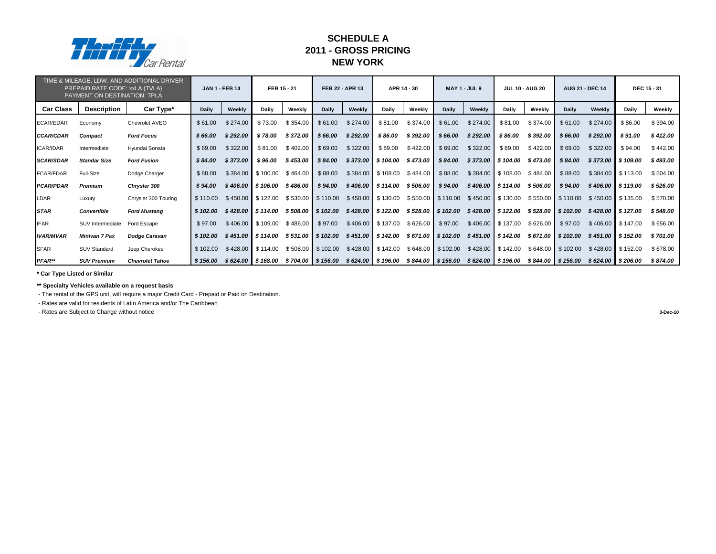|                  | PREPAID RATE CODE: xxLA (TVLA)<br>PAYMENT ON DESTINATION: TPLA | TIME & MILEAGE, LDW, AND ADDITIONAL DRIVER |              | <b>JAN 1 - FEB 14</b> | FEB 15 - 21                              |          |                     | FEB 22 - APR 13 |                             | APR 14 - 30                              |              | <b>MAY 1 - JUL 9</b>                                                  |                               | <b>JUL 10 - AUG 20</b> |                   | <b>AUG 21 - DEC 14</b> |                         | <b>DEC 15 - 31</b> |
|------------------|----------------------------------------------------------------|--------------------------------------------|--------------|-----------------------|------------------------------------------|----------|---------------------|-----------------|-----------------------------|------------------------------------------|--------------|-----------------------------------------------------------------------|-------------------------------|------------------------|-------------------|------------------------|-------------------------|--------------------|
| <b>Car Class</b> | <b>Description</b>                                             | Car Type*                                  | <b>Daily</b> | Weekly                | <b>Daily</b>                             | Weekly   | <b>Daily</b>        | Weekly          | <b>Daily</b>                | Weekly                                   | <b>Daily</b> | Weekly                                                                | <b>Daily</b>                  | Weekly                 | <b>Daily</b>      | <b>Weekly</b>          | <b>Daily</b>            | Weekly             |
| ECAR/EDAR        | Economy                                                        | <b>Chevrolet AVEO</b>                      | \$61.00      | \$274.00              | \$73.00                                  | \$354.00 | \$61.00             | \$274.00        | \$81.00                     | \$374.00                                 | \$61.00      | \$274.00                                                              | \$81.00                       | \$374.00               | \$61.00           | \$274.00               | \$86.00                 | \$394.00           |
| <b>CCAR/CDAR</b> | <b>Compact</b>                                                 | <b>Ford Focus</b>                          | \$66.00      | \$292.00              | \$78.00                                  | \$372.00 | \$66.00             | \$292.00        | \$86.00                     | \$392.00                                 | \$66.00      | \$292.00                                                              | \$86.00                       | \$392.00               | \$66.00           | \$292.00               | \$91.00                 | \$412.00           |
| ICAR/IDAR        | Intermediate                                                   | Hyundai Sonata                             | \$69.00      | \$322.00              | \$81.00                                  | \$402.00 | \$69.00             | \$322.00        | \$89.00                     | \$422.00                                 | \$69.00      | \$322.00                                                              | \$89.00                       | \$422.00               | \$69.00           | \$322.00               | \$94.00                 | \$442.00           |
| <b>SCAR/SDAR</b> | <b>Standar Size</b>                                            | <b>Ford Fusion</b>                         | \$84.00      | \$373.00              | \$96.00                                  | \$453.00 | \$84.00             |                 | \$373.00 \$104.00           | \$473.00                                 | \$84.00      |                                                                       | $$373.00$   \$104.00          | \$473.00               | \$84.00           | \$373.00               | \$109.00                | \$493.00           |
| FCAR/FDAR        | Full-Size                                                      | Dodge Charger                              | \$88.00      | \$384.00              | $\frac{1}{2}$ \$100.00                   | \$464.00 | \$88.00             | \$384.00        | $\frac{1}{2}$ \$ 108.00     | \$484.00                                 | \$88.00      |                                                                       | $$384.00$ $$108.00$ $$484.00$ |                        | \$88.00           |                        | $$384.00$ $$113.00$     | \$504.00           |
| <b>PCAR/PDAR</b> | <b>Premium</b>                                                 | <b>Chrysler 300</b>                        | \$94.00      |                       | $$406.00$   \$106.00                     | \$486.00 | \$94.00             |                 | $$406.00$ \$114.00 \$506.00 |                                          | \$94.00      |                                                                       | $$406.00$ \$114.00            | \$506.00               | \$94.00           |                        | $$406.00$ \$119.00      | \$526.00           |
| LDAR             | Luxury                                                         | Chrysler 300 Touring                       | \$110.00     |                       | $$450.00$ \ $$122.00$                    |          | $$530.00$ $$110.00$ |                 | $$450.00$ $$130.00$         | $$550.00$ $$110.00$                      |              | $$450.00$ $$130.00$                                                   |                               | \$550.00               | \$110.00          | \$450.00               | \$135.00                | \$570.00           |
| <b>ISTAR</b>     | <b>Convertible</b>                                             | <b>Ford Mustang</b>                        | \$102.00     |                       | $$428.00$   \$114.00 \$508.00   \$102.00 |          |                     |                 |                             |                                          |              | $$428.00$   \$122.00 \$528.00   \$102.00 \$428.00   \$122.00 \$528.00 |                               |                        | \$102.00          | \$428.00               | $\frac{1}{2}$ \$ 127.00 | \$548.00           |
| <b>IFAR</b>      | SUV Intermediate                                               | Ford Escape                                | \$97.00      |                       | $$406.00$ \$109.00                       | \$486.00 | \$97.00             |                 | $$406.00$ $$137.00$         | \$626.00                                 | \$97.00      |                                                                       | $$406.00$ $$137.00$           | \$626.00               | \$97.00           | \$406.00               | \$147.00                | \$656.00           |
| <b>IVAR/MVAR</b> | <b>Minivan 7 Pax</b>                                           | <b>Dodge Caravan</b>                       | \$102.00     |                       | \$451.00 \$114.00                        |          | $$531.00$ \$102.00  |                 |                             | $$451.00$   \$142.00 \$671.00   \$102.00 |              |                                                                       | $$451.00$ \$142.00            | \$671.00               | \$102.00          | \$451.00               | \$152.00                | \$701.00           |
| <b>ISFAR</b>     | <b>SUV Standard</b>                                            | Jeep Cherokee                              | \$102.00     |                       | $$428.00$ $$114.00$                      | \$508.00 | \$102.00            |                 | $$428.00$ $$142.00$         | \$648.00                                 | \$102.00     |                                                                       | $$428.00$ $$142.00$           | \$648.00               | \$102.00          | \$428.00               | \$152.00                | \$678.00           |
| $PFAR^{**}$      | <b>SUV Premium</b>                                             | <b>Chevrolet Tahoe</b>                     | \$156.00     |                       | $$624.00$ $$168.00$                      |          | \$704.00 \$156.00   |                 |                             | $$624.00$ $$196.00$ $$844.00$ $$156.00$  |              |                                                                       | \$624.00 \$196.00             |                        | \$844.00 \$156.00 |                        | \$624.00 \$206.00       | \$874.00           |

**\*\* Specialty Vehicles available on a request basis**

- The rental of the GPS unit, will require a major Credit Card - Prepaid or Paid on Destination.

- Rates are valid for residents of Latin America and/or The Caribbean

- Rates are Subject to Change without notice **3-Dec-10**



### **2011 - GROSS PRICING SCHEDULE A NEW YORK**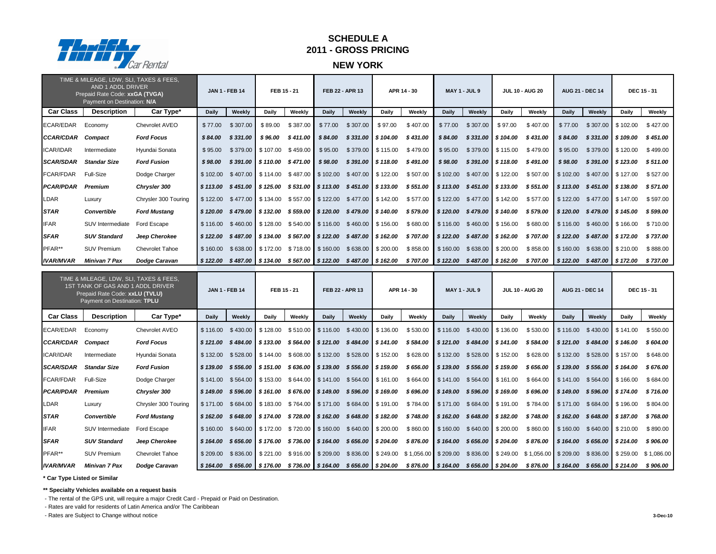|                   | TIME & MILEAGE, LDW, SLI, TAXES & FEES,<br>AND 1 ADDL DRIVER<br>Prepaid Rate Code: xxGA (TVGA)<br>Payment on Destination: N/A |                        |              | <b>JAN 1 - FEB 14</b>                               | FEB 15 - 21                 |          |                     | <b>FEB 22 - APR 13</b>                                                          |                        | APR 14 - 30                                                                       |                                             | <b>MAY 1 - JUL 9</b>          |                     | <b>JUL 10 - AUG 20</b>                                                                                            |              | <b>AUG 21 - DEC 14</b>                      |                        | <b>DEC 15 - 31</b> |
|-------------------|-------------------------------------------------------------------------------------------------------------------------------|------------------------|--------------|-----------------------------------------------------|-----------------------------|----------|---------------------|---------------------------------------------------------------------------------|------------------------|-----------------------------------------------------------------------------------|---------------------------------------------|-------------------------------|---------------------|-------------------------------------------------------------------------------------------------------------------|--------------|---------------------------------------------|------------------------|--------------------|
| <b>Car Class</b>  | <b>Description</b>                                                                                                            | Car Type*              | <b>Daily</b> | Weekly                                              | <b>Daily</b>                | Weekly   | <b>Daily</b>        | Weekly                                                                          | <b>Daily</b>           | Weekly                                                                            | <b>Daily</b>                                | Weekly                        | <b>Daily</b>        | Weekly                                                                                                            | <b>Daily</b> | Weekly                                      | <b>Daily</b>           | Weekly             |
| ECAR/EDAR         | Economy                                                                                                                       | Chevrolet AVEO         | \$77.00      | \$307.00                                            | \$89.00                     | \$387.00 | \$77.00             | \$307.00                                                                        | \$97.00                | \$407.00                                                                          | \$77.00                                     | \$307.00                      | \$97.00             | \$407.00                                                                                                          | \$77.00      | \$307.00                                    | \$102.00               | \$427.00           |
| <b>CCAR/CDAR</b>  | <b>Compact</b>                                                                                                                | <b>Ford Focus</b>      | \$84.00      | \$331.00                                            | \$96.00                     | \$411.00 | \$84.00             | \$331.00                                                                        | \$104.00               | \$431.00                                                                          | \$84.00                                     | \$331.00                      | \$104.00            | \$431.00                                                                                                          | \$84.00      | \$331.00                                    | \$109.00               | \$451.00           |
| <b>ICAR/IDAR</b>  | Intermediate                                                                                                                  | Hyundai Sonata         | \$95.00      | \$379.00                                            | \$107.00                    | \$459.00 | \$95.00             | \$379.00                                                                        | $\frac{1}{2}$ \$115.00 | \$479.00                                                                          | \$95.00                                     |                               | $$379.00$ $$115.00$ | \$479.00                                                                                                          | \$95.00      |                                             | $$379.00$ $$120.00$    | \$499.00           |
| <b>SCAR/SDAR</b>  | <b>Standar Size</b>                                                                                                           | <b>Ford Fusion</b>     | \$98.00      |                                                     | $$391.00$ \$110.00          | \$471.00 | \$98.00             | \$391.00                                                                        | \$118.00               | \$491.00                                                                          | \$98.00                                     |                               | $$391.00$ \$118.00  | \$491.00                                                                                                          | \$98.00      |                                             | $$391.00$ $$123.00$    | \$511.00           |
| FCAR/FDAR         | Full-Size                                                                                                                     | Dodge Charger          |              | $$102.00 \quad $407.00 \quad $114.00 \quad $487.00$ |                             |          |                     | $$102.00$ $$407.00$ $$122.00$                                                   |                        | \$507.00                                                                          |                                             | $$102.00$ $$407.00$ $$122.00$ |                     | \$507.00                                                                                                          |              | $$102.00 \quad $407.00 \quad $127.00$       |                        | \$527.00           |
| <b>PCAR/PDAR</b>  | <b>Premium</b>                                                                                                                | <b>Chrysler 300</b>    | \$113.00     |                                                     | $$451.00$ \$125.00 \$531.00 |          |                     | $$113.00$ $$451.00$ $$133.00$                                                   |                        | \$551.00                                                                          | \$113.00                                    | $$451.00$ \$133.00            |                     | \$551.00                                                                                                          | \$113.00     | $$451.00$ \$138.00                          |                        | \$571.00           |
| <b>LDAR</b>       | Luxury                                                                                                                        | Chrysler 300 Touring   |              |                                                     |                             |          |                     | $$122.00$ $$477.00$ $$134.00$ $$557.00$ $$122.00$ $$477.00$ $$142.00$           |                        | \$577.00                                                                          | $\frac{1}{2}$ \$122.00 \$477.00 \$142.00    |                               |                     | \$577.00                                                                                                          |              | $$122.00$ $$477.00$ $$147.00$               |                        | \$597.00           |
| <b>STAR</b>       | <b>Convertible</b>                                                                                                            | <b>Ford Mustang</b>    | \$120.00     |                                                     | $$479.00$ $$132.00$         | \$559.00 | \$120.00            |                                                                                 | $$479.00$ \$140.00     | \$579.00                                                                          | \$120.00                                    |                               | $$479.00$ \$140.00  | \$579.00                                                                                                          |              | $$120.00$ $$479.00$ $$145.00$               |                        | \$599.00           |
| <b>IFAR</b>       | SUV Intermediate                                                                                                              | Ford Escape            |              |                                                     |                             |          |                     | $$116.00$ $$460.00$ $$128.00$ $$540.00$ $$116.00$ $$460.00$ $$156.00$           |                        | \$680.00                                                                          |                                             | $$116.00$ $$460.00$ $$156.00$ |                     | \$680.00                                                                                                          |              | $$116.00$ $$460.00$ $$166.00$               |                        | \$710.00           |
| <b>SFAR</b>       | <b>SUV Standard</b>                                                                                                           | Jeep Cherokee          | \$122.00     |                                                     | $$487.00$ $$134.00$         | \$567.00 |                     | $\frac{1}{2}$ \$122.00 \$487.00 \$162.00                                        |                        | \$707.00                                                                          | \$122.00                                    | $$487.00$ \$162.00            |                     | \$707.00                                                                                                          |              | $$122.00$ $$487.00$                         | $\frac{1}{2}$ \$172.00 | \$737.00           |
| PFAR**            | <b>SUV Premium</b>                                                                                                            | Chevrolet Tahoe        | \$160.00     |                                                     | \$638.00 \$172.00           | \$718.00 | \$160.00            | \$638.00                                                                        | \$200.00               | \$858.00                                                                          | \$160.00                                    | $$638.00$ $$200.00$           |                     | \$858.00                                                                                                          | \$160.00     | \$638.00                                    | \$210.00               | \$888.00           |
| <b>IVAR/MVAR</b>  | <b>Minivan 7 Pax</b>                                                                                                          | <b>Dodge Caravan</b>   | \$122.00     |                                                     | $$487.00$ \$134.00          |          |                     | \$567.00 \$122.00 \$487.00 \$162.00                                             |                        | \$ 707.00                                                                         | \$122.00                                    |                               | $$487.00$ \$162.00  | \$707.00                                                                                                          | \$122.00     |                                             | $$487.00$ $$172.00$    | \$737.00           |
|                   | TIME & MILEAGE, LDW, SLI, TAXES & FEES,<br>1ST TANK OF GAS AND 1 ADDL DRIVER<br>Prepaid Rate Code: xxLU (TVLU)                |                        |              |                                                     |                             |          |                     |                                                                                 |                        |                                                                                   |                                             |                               |                     |                                                                                                                   |              |                                             |                        |                    |
|                   | Payment on Destination: TPLU                                                                                                  |                        |              | <b>JAN 1 - FEB 14</b>                               | FEB 15 - 21                 |          |                     | <b>FEB 22 - APR 13</b>                                                          |                        | APR 14 - 30                                                                       |                                             | <b>MAY 1 - JUL 9</b>          |                     | <b>JUL 10 - AUG 20</b>                                                                                            |              | <b>AUG 21 - DEC 14</b>                      |                        | <b>DEC 15 - 31</b> |
| <b>Car Class</b>  | <b>Description</b>                                                                                                            | Car Type*              | <b>Daily</b> | Weekly                                              | <b>Daily</b>                | Weekly   | <b>Daily</b>        | Weekly                                                                          | <b>Daily</b>           | Weekly                                                                            | <b>Daily</b>                                | Weekly                        | <b>Daily</b>        | Weekly                                                                                                            | <b>Daily</b> | Weekly                                      | <b>Daily</b>           | Weekly             |
| <b>ECAR/EDAR</b>  | Economy                                                                                                                       | Chevrolet AVEO         | \$116.00     |                                                     | $$430.00$ $$128.00$         |          | $$510.00$ $$116.00$ |                                                                                 | $$430.00$ $$136.00$    |                                                                                   | $$530.00$ $$116.00$                         |                               | $$430.00$ $$136.00$ | \$530.00                                                                                                          | \$116.00     | $$430.00$ $$141.00$                         |                        | \$550.00           |
| CCAR/CDAR Compact |                                                                                                                               | <b>Ford Focus</b>      |              |                                                     |                             |          |                     |                                                                                 |                        | $$121.00$ $$484.00$ $$133.00$ $$564.00$ $$121.00$ $$484.00$ $$141.00$ $$584.00$   | $$121.00$ $$484.00$ $$141.00$               |                               |                     | \$ 584.00                                                                                                         |              | $\frac{1}{2}$ \$121.00 \$484.00 \$146.00    |                        | \$604.00           |
| ICAR/IDAR         | Intermediate                                                                                                                  | Hyundai Sonata         |              |                                                     |                             |          |                     |                                                                                 |                        | $$132.00$ $$528.00$ $$144.00$ $$608.00$ $$132.00$ $$528.00$ $$152.00$ $$628.00$   | $\frac{1}{2}$ \$132.00 \$528.00 \$152.00    |                               |                     | \$628.00                                                                                                          |              | $\frac{1}{2}$ \$132.00 \$528.00 \$157.00    |                        | \$648.00           |
| <b>SCAR/SDAR</b>  | <b>Standar Size</b>                                                                                                           | <b>Ford Fusion</b>     |              |                                                     |                             |          |                     | $$139.00$ $$556.00$   \$151.00 \$636.00   \$139.00 \$556.00   \$159.00          |                        | \$ 656.00                                                                         | $\frac{1}{2}$ \$ 139.00 \$ 556.00 \$ 159.00 |                               |                     | \$656.00                                                                                                          |              | $\frac{1}{2}$ \$ 139.00 \$ 556.00 \$ 164.00 |                        | \$676.00           |
| FCAR/FDAR         | <b>Full-Size</b>                                                                                                              | Dodge Charger          |              |                                                     |                             |          |                     |                                                                                 |                        | $$141.00$ $$564.00$ $$153.00$ $$644.00$ $$141.00$ $$564.00$ $$161.00$ $$664.00$   | $\frac{1}{2}$ \$141.00 \$564.00 \$161.00    |                               |                     | \$664.00                                                                                                          |              | $$141.00$ $$564.00$ $$166.00$               |                        | \$684.00           |
| <b>PCAR/PDAR</b>  | <b>Premium</b>                                                                                                                | <b>Chrysler 300</b>    |              |                                                     |                             |          |                     | $$149.00$ $$596.00$ $$161.00$ $$676.00$ $$149.00$ $$596.00$ $$169.00$ $$696.00$ |                        |                                                                                   | $\frac{1}{2}$ \$149.00 \$596.00 \$169.00    |                               |                     | \$696.00                                                                                                          |              | $\frac{1}{2}$ \$149.00 \$596.00 \$174.00    |                        | \$716.00           |
| LDAR              | Luxury                                                                                                                        | Chrysler 300 Touring   |              |                                                     |                             |          |                     |                                                                                 |                        | \$171.00 \$684.00 \$183.00 \$764.00 \$171.00 \$684.00 \$191.00 \$784.00           | $\frac{1}{2}$ \$171.00 \$684.00 \$191.00    |                               |                     | \$784.00                                                                                                          |              | $\frac{1}{2}$ \$171.00 \$684.00 \$196.00    |                        | \$804.00           |
| <b>STAR</b>       | <b>Convertible</b>                                                                                                            | <b>Ford Mustang</b>    |              |                                                     |                             |          |                     |                                                                                 |                        | $$162.00$ $$648.00$ $$174.00$ $$728.00$ $$648.00$ $$648.00$ $$182.00$ $$748.00$   | $$162.00 \quad $648.00 \quad $182.00$       |                               |                     | \$748.00                                                                                                          |              | $\frac{1}{2}$ \$162.00 \$648.00 \$187.00    |                        | \$768.00           |
| <b>IFAR</b>       | SUV Intermediate                                                                                                              | Ford Escape            |              |                                                     |                             |          |                     | $$160.00$ $$640.00$ $$172.00$ $$720.00$ $$160.00$ $$640.00$ $$200.00$           |                        | \$860.00                                                                          | $\frac{1}{2}$ \$160.00 \$640.00 \$200.00    |                               |                     | \$860.00                                                                                                          |              | $\frac{1}{2}$ \$160.00 \$640.00 \$210.00    |                        | \$890.00           |
| <b>SFAR</b>       | <b>SUV Standard</b>                                                                                                           | Jeep Cherokee          |              |                                                     |                             |          |                     |                                                                                 |                        | $$164.00$ $$656.00$   \$176.00 $$736.00$   \$164.00 $$656.00$   \$204.00 \$876.00 | $\frac{1}{2}$ \$164.00 \$656.00 \$204.00    |                               |                     | \$ 876.00                                                                                                         |              | $\frac{1}{2}$ \$ 164.00 \$ 656.00 \$ 214.00 |                        | \$906.00           |
| PFAR**            | <b>SUV Premium</b>                                                                                                            | <b>Chevrolet Tahoe</b> |              | $$209.00$ $$836.00$ $$221.00$ $$916.00$             |                             |          |                     |                                                                                 |                        |                                                                                   |                                             |                               |                     | $$209.00$ $$836.00$ $$249.00$ $$1,056.00$ $$209.00$ $$836.00$ $$249.00$ $$1,056.00$ $$209.00$ $$836.00$ $$259.00$ |              |                                             |                        | \$1,086.00         |

**\*\* Specialty Vehicles available on a request basis**

- The rental of the GPS unit, will require a major Credit Card - Prepaid or Paid on Destination.

- Rates are valid for residents of Latin America and/or The Caribbean

- Rates are Subject to Change without notice **3-Dec-10**



### **SCHEDULE A 2011 - GROSS PRICING**

### **NEW YORK**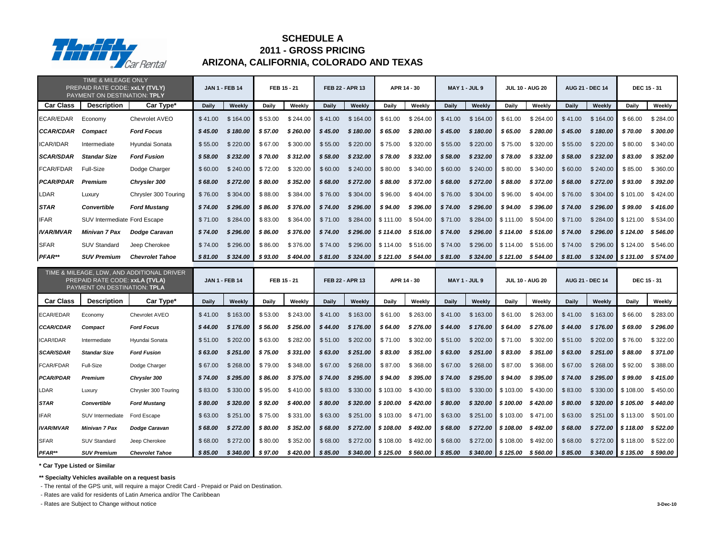|                  | TIME & MILEAGE ONLY<br>PREPAID RATE CODE: xxLY (TVLY)<br>PAYMENT ON DESTINATION: TPLY |                        |              | <b>JAN 1 - FEB 14</b> |              | FEB 15 - 21 |              | FEB 22 - APR 13                                             |                     | APR 14 - 30                   |              | <b>MAY 1 - JUL 9</b>        |                               | <b>JUL 10 - AUG 20</b> |              | <b>AUG 21 - DEC 14</b> | <b>DEC 15 - 31</b>    |           |
|------------------|---------------------------------------------------------------------------------------|------------------------|--------------|-----------------------|--------------|-------------|--------------|-------------------------------------------------------------|---------------------|-------------------------------|--------------|-----------------------------|-------------------------------|------------------------|--------------|------------------------|-----------------------|-----------|
| <b>Car Class</b> | <b>Description</b>                                                                    | Car Type*              | <b>Daily</b> | Weekly                | <b>Daily</b> | Weekly      | <b>Daily</b> | Weekly                                                      | <b>Daily</b>        | Weekly                        | <b>Daily</b> | Weekly                      | Daily                         | Weekly                 | <b>Daily</b> | Weekly                 | <b>Daily</b>          | Weekly    |
| ECAR/EDAR        | Economy                                                                               | Chevrolet AVEO         | \$41.00      | \$164.00              | \$53.00      | \$244.00    | \$41.00      | \$164.00                                                    | \$61.00             | \$264.00                      | \$41.00      | \$164.00                    | \$61.00                       | \$264.00               | \$41.00      | \$164.00               | \$66.00               | \$284.00  |
| <b>CCAR/CDAR</b> | <b>Compact</b>                                                                        | <b>Ford Focus</b>      | \$45.00      | \$180.00              | \$57.00      | \$260.00    | \$45.00      | \$180.00                                                    | \$65.00             | \$280.00                      | \$45.00      | \$180.00                    | \$65.00                       | \$280.00               | \$45.00      | \$180.00               | \$70.00               | \$300.00  |
| <b>ICAR/IDAR</b> | Intermediate                                                                          | Hyundai Sonata         | \$55.00      | \$220.00              | \$67.00      | \$300.00    | \$55.00      | \$220.00                                                    | \$75.00             | \$320.00                      | \$55.00      | \$220.00                    | \$75.00                       | \$320.00               | \$55.00      | \$220.00               | \$80.00               | \$340.00  |
| <b>SCAR/SDAR</b> | <b>Standar Size</b>                                                                   | <b>Ford Fusion</b>     | \$58.00      | \$232.00              | \$70.00      | \$312.00    | \$58.00      | \$232.00                                                    | \$78.00             | \$332.00                      | \$58.00      | \$232.00                    | \$78.00                       | \$332.00               | \$58.00      | \$232.00               | \$83.00               | \$352.00  |
| <b>FCAR/FDAR</b> | Full-Size                                                                             | Dodge Charger          | \$60.00      | \$240.00              | \$72.00      | \$320.00    | \$60.00      | \$240.00                                                    | \$80.00             | \$340.00                      | \$60.00      | \$240.00                    | \$80.00                       | \$340.00               | \$60.00      | \$240.00               | \$85.00               | \$360.00  |
| <b>PCAR/PDAR</b> | <b>Premium</b>                                                                        | <b>Chrysler 300</b>    | \$68.00      | \$272.00              | \$80.00      | \$352.00    | \$68.00      | \$272.00                                                    | \$88.00             | \$372.00                      | \$68.00      | \$272.00                    | \$88.00                       | \$372.00               | \$68.00      | \$272.00               | \$93.00               | \$392.00  |
| LDAR             | Luxury                                                                                | Chrysler 300 Touring   | \$76.00      | \$304.00              | \$88.00      | \$384.00    | \$76.00      | \$304.00                                                    | \$96.00             | \$404.00                      | \$76.00      | \$304.00                    | \$96.00                       | \$404.00               | \$76.00      | \$304.00               | \$101.00              | \$424.00  |
| <b>STAR</b>      | <b>Convertible</b>                                                                    | <b>Ford Mustang</b>    | \$74.00      | \$296.00              | \$86.00      | \$376.00    | \$74.00      | \$296.00                                                    | \$94.00             | \$396.00                      | \$74.00      | \$296.00                    | \$94.00                       | \$396.00               | \$74.00      | \$296.00               | \$99.00               | \$416.00  |
| <b>IFAR</b>      | SUV Intermediate Ford Escape                                                          |                        | \$71.00      | \$284.00              | \$83.00      | \$364.00    | \$71.00      | \$284.00                                                    | \$111.00            | \$504.00                      | \$71.00      | \$284.00                    | $\frac{1}{2}$ \$111.00        | \$504.00               | \$71.00      | \$284.00               | \$121.00              | \$534.00  |
| <b>IVAR/MVAR</b> | <b>Minivan 7 Pax</b>                                                                  | <b>Dodge Caravan</b>   | \$74.00      | \$296.00              | \$86.00      | \$376.00    | \$74.00      | \$296.00                                                    | \$114.00            | \$516.00                      | \$74.00      | \$296.00                    | \$114.00                      | \$516.00               | \$74.00      | \$296.00               | \$124.00              | \$546.00  |
| <b>SFAR</b>      | <b>SUV Standard</b>                                                                   | Jeep Cherokee          | \$74.00      | \$296.00              | \$86.00      | \$376.00    | \$74.00      | \$296.00                                                    | \$114.00            | \$516.00                      | \$74.00      |                             | $$296.00$ $$114.00$           | \$516.00               | \$74.00      | $$296.00$ \ \$124.00   |                       | \$546.00  |
| PFAR**           | <b>SUV Premium</b>                                                                    | <b>Chevrolet Tahoe</b> | \$81.00      | \$324.00              | \$93.00      | \$404.00    | \$81.00      | \$324.00                                                    | \$121.00            | \$544.00                      | \$81.00      | \$324.00                    | $\frac{1}{2}$ \$121.00        | \$544.00               | \$81.00      | $$324.00$ $$131.00$    |                       | \$574.00  |
|                  | TIME & MILEAGE, LDW, AND ADDITIONAL DRIVER<br>PREPAID RATE CODE: xxLA (TVLA)          |                        |              |                       |              |             |              |                                                             |                     |                               |              |                             |                               |                        |              |                        |                       |           |
|                  | PAYMENT ON DESTINATION: TPLA                                                          |                        |              | <b>JAN 1 - FEB 14</b> |              | FEB 15 - 21 |              | <b>FEB 22 - APR 13</b>                                      |                     | APR 14 - 30                   |              | <b>MAY 1 - JUL 9</b>        |                               | <b>JUL 10 - AUG 20</b> |              | <b>AUG 21 - DEC 14</b> | <b>DEC 15 - 31</b>    |           |
| <b>Car Class</b> | <b>Description</b>                                                                    | Car Type*              | <b>Daily</b> | Weekly                | <b>Daily</b> | Weekly      | <b>Daily</b> | Weekly                                                      | <b>Daily</b>        | Weekly                        | <b>Daily</b> | Weekly                      | <b>Daily</b>                  | Weekly                 | <b>Daily</b> | Weekly                 | <b>Daily</b>          | Weekly    |
| ECAR/EDAR        | Economy                                                                               | Chevrolet AVEO         | \$41.00      | \$163.00              | \$53.00      | \$243.00    | \$41.00      | \$163.00                                                    | \$61.00             | \$263.00                      | \$41.00      | \$163.00                    | \$61.00                       | \$263.00               | \$41.00      | \$163.00               | \$66.00               | \$283.00  |
| <b>CCAR/CDAR</b> | <b>Compact</b>                                                                        | <b>Ford Focus</b>      | \$44.00      | \$176.00              | \$56.00      | \$256.00    | \$44.00      | \$176.00                                                    | \$64.00             | \$276.00                      | \$44.00      | \$176.00                    | \$64.00                       | \$276.00               | \$44.00      | \$176.00               | \$69.00               | \$296.00  |
| ICAR/IDAR        | Intermediate                                                                          | Hyundai Sonata         | \$51.00      | \$202.00              | \$63.00      | \$282.00    | \$51.00      | \$202.00 \$71.00 \$302.00 \$51.00 \$202.00 \$71.00 \$302.00 |                     |                               |              |                             |                               |                        | \$51.00      | \$202.00               | \$76.00               | \$322.00  |
| <b>SCAR/SDAR</b> | <b>Standar Size</b>                                                                   | <b>Ford Fusion</b>     | \$63.00      | \$251.00              | \$ 75.00     | \$331.00    | \$63.00      | \$251.00                                                    | \$ 83.00            | \$351.00                      | \$63.00      | \$251.00                    | \$ 83.00                      | \$351.00               | \$63.00      | \$251.00               | \$88.00               | \$371.00  |
| <b>FCAR/FDAR</b> | Full-Size                                                                             | Dodge Charger          | \$67.00      | \$268.00              | \$79.00      | \$348.00    | \$67.00      | \$268.00                                                    | \$87.00             | \$368.00                      | \$67.00      | \$268.00                    | \$87.00                       | \$368.00               | \$67.00      | \$268.00               | \$92.00               | \$388.00  |
| <b>PCAR/PDAR</b> | <b>Premium</b>                                                                        | Chrysler 300           | \$74.00      | \$295.00              | \$86.00      | \$375.00    | \$74.00      | \$295.00                                                    | \$ 94.00            | \$ 395.00                     | \$74.00      | \$295.00                    | \$94.00                       | \$395.00               | \$74.00      | \$295.00               | \$ 99.00              | \$415.00  |
| LDAR             | Luxury                                                                                | Chrysler 300 Touring   | \$83.00      | \$330.00              | \$95.00      | \$410.00    | \$83.00      | \$330.00                                                    | $$103.00$ $$430.00$ |                               | \$83.00      |                             | $$330.00$ $$103.00$ $$430.00$ |                        | \$83.00      |                        | $$330.00$ \$108.00    | \$450.00  |
| <b>STAR</b>      | <b>Convertible</b>                                                                    | <b>Ford Mustang</b>    | \$80.00      | \$320.00              | \$ 92.00     | \$400.00    | \$80.00      | \$320.00                                                    |                     | $$100.00$ $$420.00$           | \$80.00      |                             | $$320.00$   \$100.00 \$420.00 |                        | \$80.00      |                        | $$320.00$   \$105.00  | \$440.00  |
| <b>IFAR</b>      | SUV Intermediate                                                                      | Ford Escape            | \$63.00      | \$251.00              | \$75.00      | \$331.00    | \$63.00      | \$251.00                                                    | $$103.00$ $$471.00$ |                               | \$63.00      |                             | \$251.00 \$103.00 \$471.00    |                        | \$63.00      | $$251.00$ $$113.00$    |                       | \$501.00  |
| <b>IVAR/MVAR</b> | <b>Minivan 7 Pax</b>                                                                  | <b>Dodge Caravan</b>   | \$68.00      | \$272.00              | \$80.00      | \$352.00    | \$68.00      |                                                             |                     | $$272.00$ \$108.00 \$492.00   | \$ 68.00     | $$272.00$ \$108.00 \$492.00 |                               |                        | \$68.00      |                        | \$272.00 \$118.00     | \$ 522.00 |
| <b>SFAR</b>      | <b>SUV Standard</b>                                                                   | Jeep Cherokee          | \$68.00      | \$272.00              | \$80.00      | \$352.00    | \$68.00      |                                                             |                     | $$272.00$ $$108.00$ $$492.00$ | \$68.00      |                             | $$272.00$ $$108.00$ $$492.00$ |                        | \$68.00      |                        | $$272.00$ \ $$118.00$ | \$522.00  |

**\*\* Specialty Vehicles available on a request basis**

- The rental of the GPS unit, will require a major Credit Card - Prepaid or Paid on Destination.

- Rates are valid for residents of Latin America and/or The Caribbean

- Rates are Subject to Change without notice **3-Dec-10**



### **SCHEDULE A 2011 - GROSS PRICING ARIZONA, CALIFORNIA, COLORADO AND TEXAS**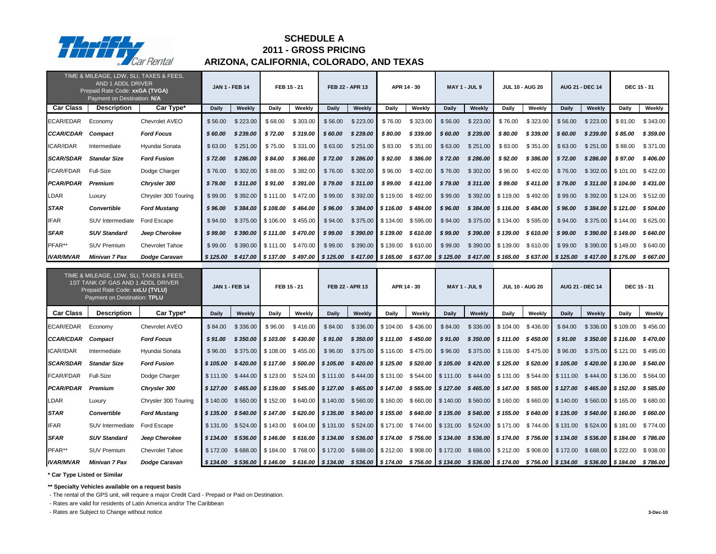|                  | TIME & MILEAGE, LDW, SLI, TAXES & FEES,<br>AND 1 ADDL DRIVER<br>Prepaid Rate Code: xxGA (TVGA)<br>Payment on Destination: N/A                  |                        |              | <b>JAN 1 - FEB 14</b>                                                                                                                           | FEB 15 - 21                     |          |              | FEB 22 - APR 13 |                               | APR 14 - 30 |                                                                                                                                             | <b>MAY 1 - JUL 9</b> |                      | <b>JUL 10 - AUG 20</b>        |              | <b>AUG 21 - DEC 14</b> |                               | <b>DEC 15 - 31</b> |
|------------------|------------------------------------------------------------------------------------------------------------------------------------------------|------------------------|--------------|-------------------------------------------------------------------------------------------------------------------------------------------------|---------------------------------|----------|--------------|-----------------|-------------------------------|-------------|---------------------------------------------------------------------------------------------------------------------------------------------|----------------------|----------------------|-------------------------------|--------------|------------------------|-------------------------------|--------------------|
| <b>Car Class</b> | <b>Description</b>                                                                                                                             | Car Type*              | <b>Daily</b> | <b>Weekly</b>                                                                                                                                   | <b>Daily</b>                    | Weekly   | <b>Daily</b> | Weekly          | <b>Daily</b>                  | Weekly      | <b>Daily</b>                                                                                                                                | Weekly               | <b>Daily</b>         | Weekly                        | <b>Daily</b> | Weekly                 | <b>Daily</b>                  | Weekly             |
| <b>ECAR/EDAR</b> | Economy                                                                                                                                        | Chevrolet AVEO         | \$56.00      | \$223.00                                                                                                                                        | \$68.00                         | \$303.00 | \$56.00      | \$223.00        | \$76.00                       | \$323.00    | \$56.00                                                                                                                                     | \$223.00             | \$76.00              | \$323.00                      | \$56.00      | \$223.00               | \$81.00                       | \$343.00           |
| <b>CCAR/CDAR</b> | <b>Compact</b>                                                                                                                                 | <b>Ford Focus</b>      | \$60.00      | \$239.00                                                                                                                                        | \$72.00                         | \$319.00 | \$60.00      | \$239.00        | \$80.00                       | \$339.00    | \$60.00                                                                                                                                     | \$239.00             | \$80.00              | \$339.00                      | \$60.00      | \$239.00               | \$85.00                       | \$359.00           |
| <b>ICAR/IDAR</b> | Intermediate                                                                                                                                   | Hyundai Sonata         | \$63.00      | \$251.00                                                                                                                                        | \$75.00                         | \$331.00 | \$63.00      | \$251.00        | \$83.00                       | \$351.00    | \$63.00                                                                                                                                     | \$251.00             | \$83.00              | \$351.00                      | \$63.00      | \$251.00               | \$88.00                       | \$371.00           |
| <b>SCAR/SDAR</b> | <b>Standar Size</b>                                                                                                                            | <b>Ford Fusion</b>     | \$72.00      | \$286.00                                                                                                                                        | \$84.00                         | \$366.00 | \$72.00      | \$286.00        | \$92.00                       | \$386.00    | \$72.00                                                                                                                                     | \$286.00             | \$92.00              | \$386.00                      | \$72.00      | \$286.00               | \$97.00                       | \$406.00           |
| <b>FCAR/FDAR</b> | Full-Size                                                                                                                                      | Dodge Charger          | \$76.00      | \$302.00                                                                                                                                        | \$88.00                         | \$382.00 | \$76.00      | \$302.00        | \$96.00                       | \$402.00    | \$76.00                                                                                                                                     | \$302.00             | \$96.00              | \$402.00                      | \$76.00      | \$302.00               | \$101.00                      | \$422.00           |
| <b>PCAR/PDAR</b> | Premium                                                                                                                                        | <b>Chrysler 300</b>    | \$79.00      | \$311.00                                                                                                                                        | \$91.00                         | \$391.00 | \$79.00      | \$311.00        | \$99.00                       | \$411.00    | \$79.00                                                                                                                                     | \$311.00             | \$99.00              | \$411.00                      | \$79.00      | \$311.00               | \$104.00                      | \$431.00           |
| <b>LDAR</b>      | Luxury                                                                                                                                         | Chrysler 300 Touring   | \$99.00      | \$392.00                                                                                                                                        | \$111.00                        | \$472.00 | \$99.00      | \$392.00        | \$119.00                      | \$492.00    | \$99.00                                                                                                                                     | \$392.00             | \$119.00             | \$492.00                      | \$99.00      | \$392.00               | \$124.00                      | \$512.00           |
| <b>STAR</b>      | <b>Convertible</b>                                                                                                                             | <b>Ford Mustang</b>    | \$96.00      | \$384.00                                                                                                                                        | \$108.00                        | \$464.00 | \$96.00      | \$384.00        | \$116.00                      | \$484.00    | \$96.00                                                                                                                                     | \$384.00             | \$116.00             | \$484.00                      | \$96.00      | \$384.00               | \$121.00                      | \$504.00           |
| <b>IFAR</b>      | SUV Intermediate                                                                                                                               | Ford Escape            | \$94.00      | \$375.00                                                                                                                                        | \$106.00                        | \$455.00 | \$94.00      | \$375.00        | \$134.00                      | \$595.00    | \$94.00                                                                                                                                     | \$375.00             | \$134.00             | \$595.00                      | \$94.00      | \$375.00               | \$144.00                      | \$625.00           |
| <b>SFAR</b>      | <b>SUV Standard</b>                                                                                                                            | Jeep Cherokee          | \$99.00      | \$390.00                                                                                                                                        | $\frac{1}{2}$ \$111.00 \$470.00 |          | \$99.00      | \$390.00        | $\frac{1}{2}$ \$ 139.00       | \$610.00    | \$99.00                                                                                                                                     | \$390.00             | \$139.00             | \$610.00                      | \$99.00      | \$390.00               | \$149.00                      | \$640.00           |
| PFAR**           | <b>SUV Premium</b>                                                                                                                             | <b>Chevrolet Tahoe</b> | \$99.00      | \$390.00                                                                                                                                        | $\frac{1}{2}$ \$111.00          | \$470.00 | \$99.00      | \$390.00        | $\frac{1}{2}$ \$139.00        | \$610.00    | \$99.00                                                                                                                                     | \$390.00             | $\parallel$ \$139.00 | \$610.00                      | \$99.00      | \$390.00               | \$149.00                      | \$640.00           |
| <b>IVAR/MVAR</b> | <b>Minivan 7 Pax</b>                                                                                                                           | <b>Dodge Caravan</b>   | \$125.00     |                                                                                                                                                 |                                 | \$497.00 | \$125.00     |                 | $$417.00$ \$165.00            |             | $$637.00$ $$125.00$                                                                                                                         | $$417.00$ \$165.00   |                      | $$637.00$ $$125.00$           |              |                        | $$417.00$ \$175.00            | \$667.00           |
|                  |                                                                                                                                                |                        |              | $$417.00$ \$137.00<br><b>JAN 1 - FEB 14</b>                                                                                                     |                                 |          |              |                 |                               |             |                                                                                                                                             |                      |                      |                               |              |                        |                               |                    |
|                  | TIME & MILEAGE, LDW, SLI, TAXES & FEES,<br>1ST TANK OF GAS AND 1 ADDL DRIVER<br>Prepaid Rate Code: xxLU (TVLU)<br>Payment on Destination: TPLU |                        |              |                                                                                                                                                 | FEB 15 - 21                     |          |              | FEB 22 - APR 13 |                               | APR 14 - 30 |                                                                                                                                             | <b>MAY 1 - JUL 9</b> |                      | <b>JUL 10 - AUG 20</b>        |              | <b>AUG 21 - DEC 14</b> |                               | <b>DEC 15 - 31</b> |
| <b>Car Class</b> | <b>Description</b>                                                                                                                             | Car Type*              | <b>Daily</b> | <b>Weekly</b>                                                                                                                                   | <b>Daily</b>                    | Weekly   | <b>Daily</b> | Weekly          | <b>Daily</b>                  | Weekly      | <b>Daily</b>                                                                                                                                | Weekly               | <b>Daily</b>         | Weekly                        | <b>Daily</b> | Weekly                 | <b>Daily</b>                  | Weekly             |
| <b>ECAR/EDAR</b> | Economy                                                                                                                                        | Chevrolet AVEO         | \$84.00      | \$336.00                                                                                                                                        | \$96.00                         | \$416.00 | \$84.00      |                 | $$336.00$ $$104.00$           | \$436.00    | \$84.00                                                                                                                                     |                      | $$336.00$ $$104.00$  | \$436.00                      | \$84.00      |                        | $$336.00$ \ \$109.00          | \$456.00           |
| <b>CCAR/CDAR</b> | <b>Compact</b>                                                                                                                                 | <b>Ford Focus</b>      | \$91.00      |                                                                                                                                                 | $$350.00$   \$103.00 \$430.00   |          | \$91.00      |                 | $$350.00$ $$111.00$ $$450.00$ |             | \$91.00                                                                                                                                     |                      |                      | $$350.00$   \$111.00 \$450.00 | \$91.00      |                        | \$350.00 \$116.00             | \$470.00           |
| <b>ICAR/IDAR</b> | Intermediate                                                                                                                                   | Hyundai Sonata         | \$96.00      |                                                                                                                                                 | $$375.00$ $$108.00$ $$455.00$   |          | \$96.00      |                 | $$375.00$ $$116.00$ $$475.00$ |             | \$96.00                                                                                                                                     |                      |                      | $$375.00$ $$116.00$ $$475.00$ | \$96.00      |                        | $$375.00$   \$121.00 \$495.00 |                    |
| <b>SCAR/SDAR</b> | <b>Standar Size</b>                                                                                                                            | <b>Ford Fusion</b>     | \$105.00     |                                                                                                                                                 |                                 |          |              |                 |                               |             | \$420.00   \$117.00 \$500.00   \$105.00 \$420.00   \$125.00 \$520.00   \$105.00 \$420.00   \$125.00 \$520.00   \$105.00 \$420.00   \$130.00 |                      |                      |                               |              |                        |                               | \$ 540.00          |
| <b>FCAR/FDAR</b> | <b>Full-Size</b>                                                                                                                               | Dodge Charger          |              | \$111.00 \$444.00 \$123.00 \$524.00 \$111.00 \$444.00 \$131.00 \$544.00 \$111.00 \$444.00 \$131.00 \$544.00 \$111.00 \$444.00 \$136.00 \$564.00 |                                 |          |              |                 |                               |             |                                                                                                                                             |                      |                      |                               |              |                        |                               |                    |
| <b>PCAR/PDAR</b> | <b>Premium</b>                                                                                                                                 | <b>Chrysler 300</b>    | \$127.00     | \$465.00  \$139.00 \$545.00  \$127.00 \$465.00  \$147.00 \$565.00  \$127.00 \$465.00  \$147.00 \$565.00  \$127.00                               |                                 |          |              |                 |                               |             |                                                                                                                                             |                      |                      |                               |              |                        | \$465.00 \$152.00             | \$ 585.00          |
| <b>LDAR</b>      | Luxury                                                                                                                                         | Chrysler 300 Touring   | \$140.00     |                                                                                                                                                 |                                 |          |              |                 |                               |             | \$560.00   \$152.00 \$640.00   \$140.00 \$560.00   \$160.00 \$660.00   \$140.00 \$560.00   \$160.00 \$660.00   \$140.00                     |                      |                      |                               |              | \$560.00 \$165.00      |                               | \$680.00           |
| <b>STAR</b>      | <b>Convertible</b>                                                                                                                             | <b>Ford Mustang</b>    |              | \$135.00 \$540.00 \$147.00 \$620.00 \$135.00 \$540.00 \$155.00 \$640.00 \$135.00 \$540.00 \$155.00 \$640.00 \$135.00                            |                                 |          |              |                 |                               |             |                                                                                                                                             |                      |                      |                               |              | \$540.00 \$160.00      |                               | \$ 660.00          |
| <b>IFAR</b>      | SUV Intermediate                                                                                                                               | Ford Escape            |              | \$131.00 \$524.00 \$143.00 \$604.00 \$131.00 \$524.00 \$171.00 \$744.00 \$131.00 \$524.00 \$171.00 \$744.00 \$131.00                            |                                 |          |              |                 |                               |             |                                                                                                                                             |                      |                      |                               |              | \$524.00 \$181.00      |                               | \$774.00           |
| <b>SFAR</b>      | <b>SUV Standard</b>                                                                                                                            | Jeep Cherokee          |              | \$134.00 \$536.00 \$146.00 \$616.00 \$134.00 \$536.00 \$174.00 \$756.00 \$134.00 \$536.00 \$174.00 \$756.00 \$134.00 \$536.00 \$184.00          |                                 |          |              |                 |                               |             |                                                                                                                                             |                      |                      |                               |              |                        |                               | \$786.00           |
| PFAR**           | <b>SUV Premium</b>                                                                                                                             | <b>Chevrolet Tahoe</b> | \$172.00     |                                                                                                                                                 |                                 |          |              |                 |                               |             | \$688.00   \$184.00 \$768.00   \$172.00 \$688.00   \$212.00 \$908.00   \$172.00 \$688.00   \$212.00 \$908.00   \$172.00                     |                      |                      |                               |              | $$688.00$ $$222.00$    |                               | \$938.00           |

**\*\* Specialty Vehicles available on a request basis**

- The rental of the GPS unit, will require a major Credit Card - Prepaid or Paid on Destination.

- Rates are valid for residents of Latin America and/or The Caribbean

- Rates are Subject to Change without notice **3-Dec-10**



# **ARIZONA, CALIFORNIA, COLORADO, AND TEXAS SCHEDULE A 2011 - GROSS PRICING**